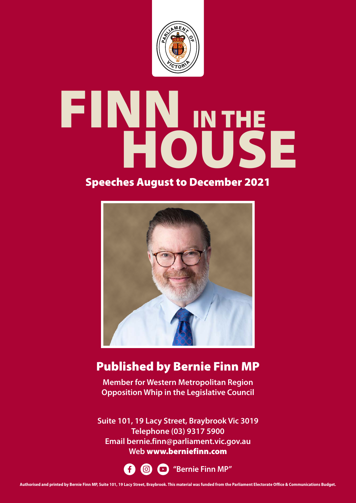

# FINN IN THE HOUSE

### Speeches August to December 2021



### Published by Bernie Finn MP

**Member for Western Metropolitan Region Opposition Whip in the Legislative Council**

**Suite 101, 19 Lacy Street, Braybrook Vic 3019 Telephone (03) 9317 5900 [Email bernie.finn@parliament.vic.gov.au](mailto:bernie.finn@parliament.vic.gov.au) Web** [www.berniefinn.com](https://berniefinn.com/)

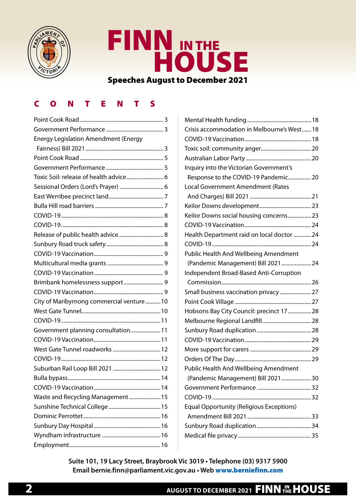



### CONTENTS

| <b>Energy Legislation Amendment (Energy</b> |  |
|---------------------------------------------|--|
|                                             |  |
|                                             |  |
|                                             |  |
| Toxic Soil: release of health advice 6      |  |
| Sessional Orders (Lord's Prayer)  6         |  |
|                                             |  |
|                                             |  |
|                                             |  |
|                                             |  |
|                                             |  |
|                                             |  |
|                                             |  |
|                                             |  |
|                                             |  |
| Brimbank homelessness support 9             |  |
|                                             |  |
| City of Maribyrnong commercial venture 10   |  |
|                                             |  |
|                                             |  |
| Government planning consultation 11         |  |
|                                             |  |
|                                             |  |
|                                             |  |
|                                             |  |
|                                             |  |
|                                             |  |
| Waste and Recycling Management 15           |  |
|                                             |  |
|                                             |  |
|                                             |  |
|                                             |  |
|                                             |  |
|                                             |  |

| Crisis accommodation in Melbourne's West 18     |  |
|-------------------------------------------------|--|
|                                                 |  |
|                                                 |  |
|                                                 |  |
| Inquiry into the Victorian Government's         |  |
| Response to the COVID-19 Pandemic20             |  |
| Local Government Amendment (Rates               |  |
|                                                 |  |
|                                                 |  |
| Keilor Downs social housing concerns23          |  |
|                                                 |  |
| Health Department raid on local doctor  24      |  |
|                                                 |  |
| <b>Public Health And Wellbeing Amendment</b>    |  |
| (Pandemic Management) Bill 202124               |  |
| Independent Broad-Based Anti-Corruption         |  |
|                                                 |  |
| Small business vaccination privacy  27          |  |
|                                                 |  |
| Hobsons Bay City Council: precinct 17 28        |  |
|                                                 |  |
|                                                 |  |
|                                                 |  |
|                                                 |  |
|                                                 |  |
| Public Health And Wellbeing Amendment           |  |
| (Pandemic Management) Bill 2021 30              |  |
|                                                 |  |
|                                                 |  |
| <b>Equal Opportunity (Religious Exceptions)</b> |  |
|                                                 |  |
|                                                 |  |
|                                                 |  |
|                                                 |  |

**Suite 101, 19 Lacy Street, Braybrook Vic 3019 • Telephone (03) 9317 5900 [Email bernie.finn@parliament.vic.gov.au](mailto:bernie.finn@parliament.vic.gov.au) • Web** [www.berniefinn.com](https://berniefinn.com/)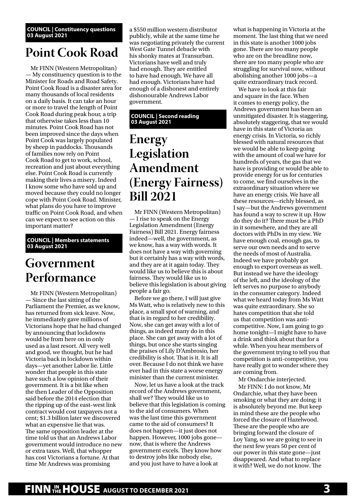#### <span id="page-2-0"></span>**COUNCIL | Constituency questions 03 August 2021**

### **Point Cook Road**

Mr FINN (Western Metropolitan) — My constituency question is to the Minister for Roads and Road Safety. Point Cook Road is a disaster area for many thousands of local residents on a daily basis. It can take an hour or more to travel the length of Point Cook Road during peak hour, a trip that otherwise takes less than 10 minutes. Point Cook Road has not been improved since the days when Point Cook was largely populated by sheep in paddocks. Thousands of families now rely on Point Cook Road to get to work, school, recreation and just about everything else. Point Cook Road is currently making their lives a misery. Indeed I know some who have sold up and moved because they could no longer cope with Point Cook Road. Minister, what plans do you have to improve traffic on Point Cook Road, and when can we expect to see action on this important matter?

#### **COUNCIL | Members statements 03 August 2021**

### **Government Performance**

Mr FINN (Western Metropolitan) — Since the last sitting of the Parliament the Premier, as we know, has returned from sick leave. Now, he immediately gave millions of Victorians hope that he had changed by announcing that lockdowns would be from here on in only used as a last resort. All very well and good, we thought, but he had Victoria back in lockdown within days—yet another Labor lie. Little wonder that people in this state have such a low opinion of their government. It is a bit like when the then Leader of the Opposition said before the 2014 election that the ripping up of the east–west link contract would cost taxpayers not a cent; \$1.3 billion later we discovered what an expensive lie that was. The same opposition leader at the time told us that an Andrews Labor government would introduce no new or extra taxes. Well, that whopper has cost Victorians a fortune. At that time Mr Andrews was promising

a \$550 million western distributor publicly, while at the same time he was negotiating privately the current West Gate Tunnel debacle with his shonky mates at Transurban. Victorians have well and truly had enough. They are entitled to have had enough. We have all had enough. Victorians have had enough of a dishonest and entirely dishonourable Andrews Labor government.

#### **COUNCIL | Second reading 03 August 2021**

### **Energy Legislation Amendment (Energy Fairness) Bill 2021**

Mr FINN (Western Metropolitan) — I rise to speak on the Energy Legislation Amendment (Energy Fairness) Bill 2021. Energy fairness indeed—well, the government, as we know, has a way with words. It does not have a way with governing but it certainly has a way with words, and they are at it again today. They would like us to believe this is about fairness. They would like us to believe this legislation is about giving people a fair go.

Before we go there, I will just give Ms Watt, who is relatively new to this place, a small spot of warning, and that is in regard to her credibility. Now, she can get away with a lot of things, as indeed many do in this place. She can get away with a lot of things, but once she starts singing the praises of Lily D'Ambrosio, her credibility is shot. That is it. It is all over. Because I do not think we have ever had in this state a worse energy minister than the current minister.

Now, let us have a look at the track record of the Andrews government, shall we? They would like us to believe that this legislation is coming to the aid of consumers. When was the last time this government came to the aid of consumers? It does not happen—it just does not happen. However, 1000 jobs gone now, that is where the Andrews government excels. They know how to destroy jobs like nobody else, and you just have to have a look at

what is happening in Victoria at the moment. The last thing that we need in this state is another 1000 jobs gone. There are too many people who are on the breadline now, there are too many people who are struggling for survival now, without abolishing another 1000 jobs—a quite extraordinary track record.

We have to look at this fair and square in the face. When it comes to energy policy, the Andrews government has been an unmitigated disaster. It is staggering, absolutely staggering, that we would have in this state of Victoria an energy crisis. In Victoria, so richly blessed with natural resources that we would be able to keep going with the amount of coal we have for hundreds of years, the gas that we have is providing or would be able to provide energy for us for centuries to come, we find ourselves in the extraordinary situation where we have an energy crisis. We have all these resources—richly blessed, as I say—but the Andrews government has found a way to screw it up. How do they do it? There must be a PhD in it somewhere, and they are all doctors with PhDs in my view. We have enough coal, enough gas, to serve our own needs and to serve the needs of most of Australia. Indeed we have probably got enough to export overseas as well. But instead we have the ideology of the left, and the ideology of the left serves no purpose to anybody in the consumer category. Indeed what we heard today from Ms Watt was quite extraordinary. She so hates competition that she told us that competition was anticompetitive. Now, I am going to go home tonight—I might have to have a drink and think about that for a while. When you hear members of the government trying to tell you that competition is anti-competitive, you have really got to wonder where they are coming from.

Mr Ondarchie interjected. Mr FINN: I do not know, Mr Ondarchie, what they have been smoking or what they are doing; it is absolutely beyond me. But keep in mind these are the people who forced the closure of Hazelwood. These are the people who are bringing forward the closure of Loy Yang, so we are going to see in the next few years 50 per cent of our power in this state gone—just disappeared. And what to replace it with? Well, we do not know. The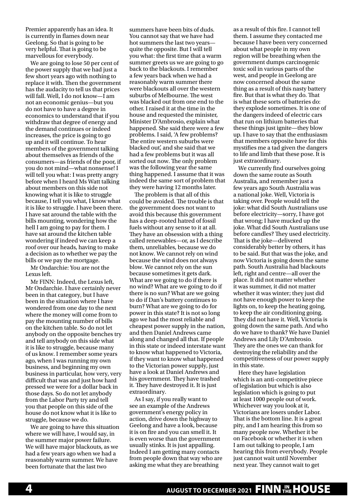Premier apparently has an idea. It is currently in flames down near Geelong. So that is going to be very helpful. That is going to be marvellous for everybody.

We are going to lose 50 per cent of the power supply that we had just a few short years ago with nothing to replace it with. Then the government has the audacity to tell us that prices will fall. Well, I do not know—I am not an economic genius—but you do not have to have a degree in economics to understand that if you withdraw that degree of energy and the demand continues or indeed increases, the price is going to go up and it will continue. To hear members of the government talking about themselves as friends of the consumers—as friends of the poor, if you do not mind—what nonsense! I will tell you what: I was pretty angry before when I heard Ms Watt talking about members on this side not knowing what it is like to struggle because, I tell you what, I know what it is like to struggle. I have been there. I have sat around the table with the bills mounting, wondering how the hell I am going to pay for them. I have sat around the kitchen table wondering if indeed we can keep a roof over our heads, having to make a decision as to whether we pay the bills or we pay the mortgage.

Mr Ondarchie: You are not the Lexus left.

Mr FINN: Indeed, the Lexus left, Mr Ondarchie. I have certainly never been in that category, but I have been in the situation where I have wondered from one day to the next where the money will come from to pay the mounting number of bills on the kitchen table. So do not let anybody on the opposite benches try and tell anybody on this side what it is like to struggle, because many of us know. I remember some years ago, when I was running my own business, and beginning my own business in particular, how very, very difficult that was and just how hard pressed we were for a dollar back in those days. So do not let anybody from the Labor Party try and tell you that people on this side of the house do not know what it is like to struggle, because we do.

We are going to have this situation where we will have, I would say, in the summer major power failure. We will have major blackouts, as we had a few years ago when we had a reasonably warm summer. We have been fortunate that the last two

summers have been bits of duds. You cannot say that we have had hot summers the last two years quite the opposite. But I will tell you what: the first time that a warm summer greets us we are going to go back to the blackouts. I remember a few years back when we had a reasonably warm summer there were blackouts all over the western suburbs of Melbourne. The west was blacked out from one end to the other. I raised it at the time in the house and requested the minister, Minister D'Ambrosio, explain what happened. She said there were a few problems. I said, 'A few problems? The entire western suburbs were blacked out', and she said that we had a few problems but it was all sorted out now. The only problem was the following year the same thing happened. I assume that it was indeed the same sort of problem that they were having 12 months later.

The problem is that all of this could be avoided. The trouble is that the government does not want to avoid this because this government has a deep-rooted hatred of fossil fuels without any sense to it at all. They have an obsession with a thing called renewables—or, as I describe them, unreliables, because we do not know. We cannot rely on wind because the wind does not always blow. We cannot rely on the sun because sometimes it gets dark. What are we going to do if there is no wind? What are we going to do if there is no sun? What are we going to do if Dan's battery continues to burn? What are we going to do for power in this state? It is not so long ago we had the most reliable and cheapest power supply in the nation, and then Daniel Andrews came along and changed all that. If people in this state or indeed interstate want to know what happened to Victoria, if they want to know what happened to the Victorian power supply, just have a look at Daniel Andrews and his government. They have trashed it. They have destroyed it. It is just extraordinary.

As I say, if you really want to see an example of the Andrews government's energy policy in action, drive down the highway to Geelong and have a look, because it is on fire and you can smell it. It is even worse than the government usually stinks. It is just appalling. Indeed I am getting many contacts from people down that way who are asking me what they are breathing

as a result of this fire. I cannot tell them. I assume they contacted me because I have been very concerned about what people in my own region will be breathing when the government dumps carcinogenic toxic soil in various parts of the west, and people in Geelong are now concerned about the same thing as a result of this nasty battery fire. But that is what they do. That is what these sorts of batteries do: they explode sometimes. It is one of the dangers indeed of electric cars that run on lithium batteries that these things just ignite—they blow up. I have to say that the enthusiasm that members opposite have for this mystifies me a tad given the dangers to life and limb that these pose. It is just extraordinary.

We currently find ourselves going down the same route as South Australia, and remember just a few years ago South Australia was a national joke. Well, Victoria is taking over. People would tell the joke: what did South Australians use before electricity—sorry, I have got that wrong; I have mucked up the joke. What did South Australians use before candles? They used electricity. That is the joke—delivered considerably better by others, it has to be said. But that was the joke, and now Victoria is going down the same path. South Australia had blackouts left, right and centre—all over the place. It did not matter whether it was summer, it did not matter whether it was winter; they just did not have enough power to keep the lights on, to keep the heating going, to keep the air conditioning going. They did not have it. Well, Victoria is going down the same path. And who do we have to thank? We have Daniel Andrews and Lily D'Ambrosio. They are the ones we can thank for destroying the reliability and the competitiveness of our power supply in this state.

Here they have legislation which is an anti-competitive piece of legislation but which is also legislation which is going to put at least 1000 people out of work. Whichever way you look at it, Victorians are losers under Labor. That is the bottom line. It is a great pity, and I am hearing this from so many people now. Whether it be on Facebook or whether it is when I am out talking to people, I am hearing this from everybody. People just cannot wait until November next year. They cannot wait to get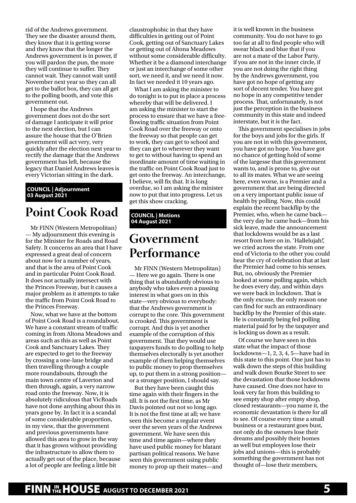<span id="page-4-0"></span>rid of the Andrews government. They see the disaster around them, they know that it is getting worse and they know that the longer the Andrews government is in power, if you will pardon the pun, the more they will continue to suffer. They cannot wait. They cannot wait until November next year so they can all get to the ballot box, they can all get to the polling booth, and vote this government out.

I hope that the Andrews government does not do the sort of damage I anticipate it will prior to the next election, but I can assure the house that the O'Brien government will act very, very quickly after the election next year to rectify the damage that the Andrews government has left, because the legacy that Daniel Andrews leaves is every Victorian sitting in the dark.

#### **COUNCIL | Adjournment 03 August 2021**

### **Point Cook Road**

Mr FINN (Western Metropolitan) — My adjournment this evening is for the Minister for Roads and Road Safety. It concerns an area that I have expressed a great deal of concern about now for a number of years, and that is the area of Point Cook and in particular Point Cook Road. It does not actually intersect with the Princes Freeway, but it causes a major problem as it attempts to take the traffic from Point Cook Road to the Princes Freeway.

Now, what we have at the bottom of Point Cook Road is a roundabout. We have a constant stream of traffic coming in from Altona Meadows and areas such as this as well as Point Cook and Sanctuary Lakes. They are expected to get to the freeway by crossing a one-lane bridge and then travelling through a couple more roundabouts, through the main town centre of Laverton and then through, again, a very narrow road onto the freeway. Now, it is absolutely ridiculous that VicRoads have not done anything about this in years gone by. In fact it is a scandal of some considerable proportion, in my view, that the government and previous governments have allowed this area to grow in the way that it has grown without providing the infrastructure to allow them to actually get out of the place, because a lot of people are feeling a little bit

claustrophobic in that they have difficulties in getting out of Point Cook, getting out of Sanctuary Lakes or getting out of Altona Meadows without some considerable difficulty. Whether it be a diamond interchange or just an interchange of some other sort, we need it, and we need it now. In fact we needed it 10 years ago.

What I am asking the minister to do tonight is to put in place a process whereby that will be delivered. I am asking the minister to start the process to ensure that we have a freeflowing traffic situation from Point Cook Road over the freeway or onto the freeway so that people can get to work, they can get to school and they can get to wherever they want to get to without having to spend an inordinate amount of time waiting in the traffic on Point Cook Road just to get onto the freeway. An interchange, I believe, will fix that. It is long overdue, so I am asking the minister now to put that into progress. Let us get this show cracking.

#### **COUNCIL | Motions 04 August 2021**

### **Government Performance**

Mr FINN (Western Metropolitan) — Here we go again. There is one thing that is abundantly obvious to anybody who takes even a passing interest in what goes on in this state—very obvious to everybody: that the Andrews government is corrupt to the core. This government is crooked. This government is corrupt. And this is yet another example of the corruption of this government. That they would use taxpayers funds to do polling to help themselves electorally is yet another example of them helping themselves to public money to prop themselves up, to put them in a strong position or a stronger position, I should say.

But they have been caught this time again with their fingers in the till. It is not the first time, as Mr Davis pointed out not so long ago. It is not the first time at all; we have seen this become a regular event over the seven years of the Andrews government. We have seen this time and time again—where they have used public money for blatant partisan political reasons. We have seen this government using public money to prop up their mates—and it is well known in the business community. You do not have to go too far at all to find people who will swear black and blue that if you are not a mate of the Labor Party, if you are not in the inner circle, if you are not doing the right thing by the Andrews government, you have got no hope of getting any sort of decent tender. You have got no hope in any competitive tender process. That, unfortunately, is not just the perception in the business community in this state and indeed interstate, but it is the fact.

This government specialises in jobs for the boys and jobs for the girls. If you are not in with this government, you have got no hope. You have got no chance of getting hold of some of the largesse that this government wants to, and is prone to, give out to all its mates. What we are seeing here, even worse, is a Premier and a government that are being directed on a very important public issue of health by polling. Now, this could explain the recent backflip by the Premier, who, when he came back the very day he came back—from his sick leave, made the announcement that lockdowns would be as a last resort from here on in. 'Hallelujah!', we cried across the state. From one end of Victoria to the other you could hear the cry of celebration that at last the Premier had come to his senses. But, no, obviously the Premier looked at some polling again, which he does every day, and within days we were back in lockdown. That is the only excuse, the only reason one can find for such an extraordinary backflip by the Premier of this state. He is constantly being fed polling material paid for by the taxpayer and is locking us down as a result.

Of course we have seen in this state what the impact of those lockdowns—1, 2, 3, 4, 5—have had in this state to this point. One just has to walk down the steps of this building and walk down Bourke Street to see the devastation that those lockdowns have caused. One does not have to look very far from this building to see empty shop after empty shop, closed restaurants—you name it, the economic devastation is there for all to see. Of course every time a small business or a restaurant goes bust, not only do the owners lose their dreams and possibly their homes as well but employees lose their jobs and unions—this is probably something the government has not thought of—lose their members,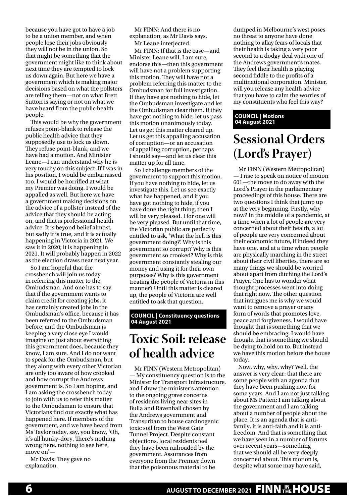<span id="page-5-0"></span>because you have got to have a job to be a union member, and when people lose their jobs obviously they will not be in the union. So that might be something that the government might like to think about next time they are tempted to lock us down again. But here we have a government which is making major decisions based on what the pollsters are telling them—not on what Brett Sutton is saying or not on what we have heard from the public health people.

This would be why the government refuses point-blank to release the public health advice that they supposedly use to lock us down. They refuse point-blank, and we have had a motion. And Minister Leane—I can understand why he is very touchy on this subject. If I was in his position, I would be embarrassed too. I would be horrified at what my Premier was doing. I would be appalled as well. But here we have a government making decisions on the advice of a pollster instead of the advice that they should be acting on, and that is professional health advice. It is beyond belief almost, but sadly it is true, and it is actually happening in Victoria in 2021. We saw it in 2020; it is happening in 2021. It will probably happen in 2022 as the election draws near next year.

So I am hopeful that the crossbench will join us today in referring this matter to the Ombudsman. And one has to say that if the government wants to claim credit for creating jobs, it has certainly created jobs in the Ombudsman's office, because it has been referred to the Ombudsman before, and the Ombudsman is keeping a very close eye I would imagine on just about everything this government does, because they know, I am sure. And I do not want to speak for the Ombudsman, but they along with every other Victorian are only too aware of how crooked and how corrupt the Andrews government is. So I am hoping, and I am asking the crossbench today to join with us to refer this matter to the Ombudsman to ensure that Victorians find out exactly what has happened here. If members of the government, and we have heard from Ms Taylor today, say, you know, 'Oh, it's all hunky-dory. There's nothing wrong here, nothing to see here, move on'—

Mr Davis: They gave no explanation.

Mr FINN: And there is no explanation, as Mr Davis says. Mr Leane interjected.

Mr FINN: If that is the case—and Minister Leane will, I am sure, endorse this—then this government will have not a problem supporting this motion. They will have not a problem referring this matter to the Ombudsman for full investigation. If they have got nothing to hide, let the Ombudsman investigate and let the Ombudsman clear them. If they have got nothing to hide, let us pass this motion unanimously today. Let us get this matter cleared up. Let us get this appalling accusation of corruption—or an accusation of appalling corruption, perhaps I should say—and let us clear this matter up for all time.

So I challenge members of the government to support this motion. If you have nothing to hide, let us investigate this. Let us see exactly what has happened, and if you have got nothing to hide, if you have done the right thing, then I will be very pleased. I for one will be very pleased. But until that time, the Victorian public are perfectly entitled to ask, 'What the hell is this government doing?'. Why is this government so corrupt? Why is this government so crooked? Why is this government constantly stealing our money and using it for their own purposes? Why is this government treating the people of Victoria in this manner? Until this matter is cleared up, the people of Victoria are well entitled to ask that question.

#### **COUNCIL | Constituency questions 04 August 2021**

### **Toxic Soil: release of health advice**

Mr FINN (Western Metropolitan) — My constituency question is to the Minister for Transport Infrastructure, and I draw the minister's attention to the ongoing grave concerns of residents living near sites in Bulla and Ravenhall chosen by the Andrews government and Transurban to house carcinogenic toxic soil from the West Gate Tunnel Project. Despite constant objections, local residents feel they have been railroaded by the government. Assurances from everyone from the Premier down that the poisonous material to be

dumped in Melbourne's west poses no threat to anyone have done nothing to allay fears of locals that their health is taking a very poor second to a dodgy deal with one of the Andrews government's mates. They feel their health is playing second fiddle to the profits of a multinational corporation. Minister, will you release any health advice that you have to calm the worries of my constituents who feel this way?

#### **COUNCIL | Motions 04 August 2021**

## **Sessional Orders (Lord's Prayer)**

Mr FINN (Western Metropolitan) — I rise to speak on notice of motion 601—the move to do away with the Lord's Prayer in the parliamentary proceedings of this house. There are two questions I think that jump up at the very beginning. Firstly, why now? In the middle of a pandemic, at a time when a lot of people are very concerned about their health, a lot of people are very concerned about their economic future, if indeed they have one, and at a time when people are physically marching in the street about their civil liberties, there are so many things we should be worried about apart from ditching the Lord's Prayer. One has to wonder what thought processes went into doing that right now. The other question that intrigues me is why we would want to remove a prayer or any form of words that promotes love, peace and forgiveness. I would have thought that is something that we should be embracing. I would have thought that is something we should be dying to hold on to. But instead we have this motion before the house today.

Now, why, why, why? Well, the answer is very clear: that there are some people with an agenda that they have been pushing now for some years. And I am not just talking about Ms Patten; I am talking about the government and I am talking about a number of people about the place. It is an agenda that is antifamily, it is anti-faith and it is antifreedom. And that is something that we have seen in a number of forums over recent years—something that we should all be very deeply concerned about. This motion is, despite what some may have said,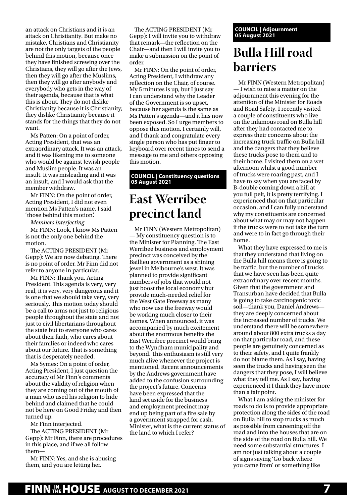<span id="page-6-0"></span>an attack on Christians and it is an attack on Christianity. But make no mistake, Christians and Christianity are not the only targets of the people behind this motion, because once they have finished screwing over the Christians, they will go after the Jews, then they will go after the Muslims, then they will go after anybody and everybody who gets in the way of their agenda, because that is what this is about. They do not dislike Christianity because it is Christianity; they dislike Christianity because it stands for the things that they do not want.

Ms Patten: On a point of order, Acting President, that was an extraordinary attack. It was an attack, and it was likening me to someone who would be against Jewish people and Muslim people. It was an insult. It was misleading and it was an insult, and I would ask that the member withdraw.

Mr FINN: On the point of order, Acting President, I did not even mention Ms Patten's name. I said 'those behind this motion'.

*Members interjecting.*

Mr FINN: Look, I know Ms Patten is not the only one behind the motion.

The ACTING PRESIDENT (Mr Gepp): We are now debating. There is no point of order. Mr Finn did not refer to anyone in particular.

Mr FINN: Thank you, Acting President. This agenda is very, very real, it is very, very dangerous and it is one that we should take very, very seriously. This motion today should be a call to arms not just to religious people throughout the state and not just to civil libertarians throughout the state but to everyone who cares about their faith, who cares about their families or indeed who cares about our future. That is something that is desperately needed.

Ms Symes: On a point of order, Acting President, I just question the accuracy of Mr Finn's comments about the validity of religion when they are coming out of the mouth of a man who used his religion to hide behind and claimed that he could not be here on Good Friday and then turned up.

Mr Finn interjected.

The ACTING PRESIDENT (Mr Gepp): Mr Finn, there are procedures in this place, and if we all follow them—

Mr FINN: Yes, and she is abusing them, and you are letting her.

The ACTING PRESIDENT (Mr Gepp): I will invite you to withdraw that remark—the reflection on the Chair—and then I will invite you to make a submission on the point of order.

Mr FINN: On the point of order, Acting President, I withdraw any reflection on the Chair, of course. My 5 minutes is up, but I just say I can understand why the Leader of the Government is so upset, because her agenda is the same as Ms Patten's agenda—and it has now been exposed. So I urge members to oppose this motion. I certainly will, and I thank and congratulate every single person who has put finger to keyboard over recent times to send a message to me and others opposing this motion.

**COUNCIL | Constituency questions 05 August 2021**

### **East Werribee precinct land**

Mr FINN (Western Metropolitan) — My constituency question is to the Minister for Planning. The East Werribee business and employment precinct was conceived by the Baillieu government as a shining jewel in Melbourne's west. It was planned to provide significant numbers of jobs that would not just boost the local economy but provide much-needed relief for the West Gate Freeway as many who now use the freeway would be working much closer to their homes. When announced, it was accompanied by much excitement about the enormous benefits the East Werribee precinct would bring to the Wyndham municipality and beyond. This enthusiasm is still very much alive whenever the project is mentioned. Recent announcements by the Andrews government have added to the confusion surrounding the project's future. Concerns have been expressed that the land set aside for the business and employment precinct may end up being part of a fire sale by a government strapped for cash. Minister, what is the current status of the land to which I refer?

#### **COUNCIL | Adjournment 05 August 2021**

### **Bulla Hill road barriers**

Mr FINN (Western Metropolitan) — I wish to raise a matter on the adjournment this evening for the attention of the Minister for Roads and Road Safety. I recently visited a couple of constituents who live on the infamous road on Bulla hill after they had contacted me to express their concerns about the increasing truck traffic on Bulla hill and the dangers that they believe these trucks pose to them and to their home. I visited them on a wet afternoon whilst a good number of trucks were roaring past, and I have to say when you are faced by B-double coming down a hill at you full pelt, it is pretty terrifying. I experienced that on that particular occasion, and I can fully understand why my constituents are concerned about what may or may not happen if the trucks were to not take the turn and were to in fact go through their home.

What they have expressed to me is that they understand that living on the Bulla hill means there is going to be traffic, but the number of trucks that we have seen has been quite extraordinary over recent months. Given that the government and Transurban have decided that Bulla is going to take carcinogenic toxic soil-thank you, Daniel Andrewsthey are deeply concerned about the increased number of trucks. We understand there will be somewhere around about 800 extra trucks a day on that particular road, and these people are genuinely concerned as to their safety, and I quite frankly do not blame them. As I say, having seen the trucks and having seen the dangers that they pose, I will believe what they tell me. As I say, having experienced it I think they have more than a fair point.

What I am asking the minister for roads to do is to provide appropriate protection along the sides of the road on Bulla hill to stop trucks as much as possible from careening off the road and into the houses that are on the side of the road on Bulla hill. We need some substantial structures. I am not just talking about a couple of signs saying 'Go back where you came from' or something like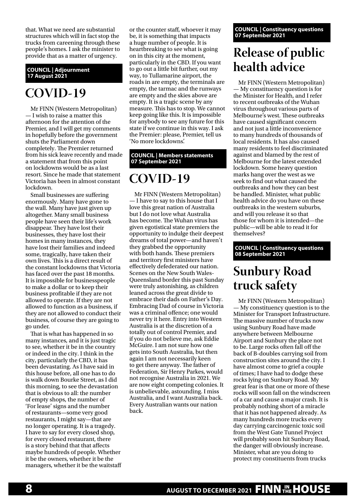<span id="page-7-0"></span>that. What we need are substantial structures which will in fact stop the trucks from careening through these people's homes. I ask the minister to provide that as a matter of urgency.

#### **COUNCIL | Adjournment 17 August 2021**

### **COVID-19**

Mr FINN (Western Metropolitan) — I wish to raise a matter this afternoon for the attention of the Premier, and I will get my comments in hopefully before the government shuts the Parliament down completely. The Premier returned from his sick leave recently and made a statement that from this point on lockdowns would be as a last resort. Since he made that statement Victoria has been in almost constant lockdown.

Small businesses are suffering enormously. Many have gone to the wall. Many have just given up altogether. Many small business people have seen their life's work disappear. They have lost their businesses, they have lost their homes in many instances, they have lost their families and indeed some, tragically, have taken their own lives. This is a direct result of the constant lockdowns that Victoria has faced over the past 18 months. It is impossible for businesspeople to make a dollar or to keep their business profitable if they are not allowed to operate. If they are not allowed to function as a business, if they are not allowed to conduct their business, of course they are going to go under.

That is what has happened in so many instances, and it is just tragic to see, whether it be in the country or indeed in the city. I think in the city, particularly the CBD, it has been devastating. As I have said in this house before, all one has to do is walk down Bourke Street, as I did this morning, to see the devastation that is obvious to all: the number of empty shops, the number of 'For lease' signs and the number of restaurants—some very good restaurants, I might say—that are no longer operating. It is a tragedy. I have to say for every closed shop, for every closed restaurant, there is a story behind that that affects maybe hundreds of people. Whether it be the owners, whether it be the managers, whether it be the waitstaff or the counter staff, whoever it may be, it is something that impacts a huge number of people. It is heartbreaking to see what is going on in this city at the moment, particularly in the CBD. If you want to go out a little bit further, out my way, to Tullamarine airport, the roads in are empty, the terminals are empty, the tarmac and the runways are empty and the skies above are empty. It is a tragic scene by any measure. This has to stop. We cannot keep going like this. It is impossible for anybody to see any future for this state if we continue in this way. I ask the Premier: please, Premier, tell us 'No more lockdowns'.

#### **COUNCIL | Members statements 07 September 2021**

### **COVID-19**

Mr FINN (Western Metropolitan) — I have to say to this house that I love this great nation of Australia but I do not love what Australia has become. The Wuhan virus has given egotistical state premiers the opportunity to indulge their deepest dreams of total power—and haven't they grabbed the opportunity with both hands. These premiers and territory first ministers have effectively defederated our nation. Scenes on the New South Wales-Queensland border this past Sunday were truly astonishing, as children leaned across the great divide to embrace their dads on Father's Day. Embracing Dad of course in Victoria was a criminal offence; one would never try it here. Entry into Western Australia is at the discretion of a totally out of control Premier, and if you do not believe me, ask Eddie McGuire. I am not sure how one gets into South Australia, but then again I am not necessarily keen to get there anyway. The father of Federation, Sir Henry Parkes, would not recognise Australia in 2021. We are now eight competing colonies. It is unbelievable, astounding. I miss Australia, and I want Australia back. Every Australian wants our nation back.

#### **COUNCIL | Constituency questions 07 September 2021**

# **Release of public health advice**

Mr FINN (Western Metropolitan) — My constituency question is for the Minister for Health, and I refer to recent outbreaks of the Wuhan virus throughout various parts of Melbourne's west. These outbreaks have caused significant concern and not just a little inconvenience to many hundreds of thousands of local residents. It has also caused many residents to feel discriminated against and blamed by the rest of Melbourne for the latest extended lockdown. Some heavy question marks hang over the west as we seek to find out what caused the outbreaks and how they can best be handled. Minister, what public health advice do you have on these outbreaks in the western suburbs, and will you release it so that those for whom it is intended—the public—will be able to read it for themselves?

**COUNCIL | Constituency questions 08 September 2021**

### **Sunbury Road truck safety**

Mr FINN (Western Metropolitan) — My constituency question is to the Minister for Transport Infrastructure. The massive number of trucks now using Sunbury Road have made anywhere between Melbourne Airport and Sunbury the place not to be. Large rocks often fall off the back of B-doubles carrying soil from construction sites around the city. I have almost come to grief a couple of times; I have had to dodge these rocks lying on Sunbury Road. My great fear is that one or more of these rocks will soon fall on the windscreen of a car and cause a major crash. It is probably nothing short of a miracle that it has not happened already. As many hundreds more trucks every day carrying carcinogenic toxic soil from the West Gate Tunnel Project will probably soon hit Sunbury Road, the danger will obviously increase. Minister, what are you doing to protect my constituents from trucks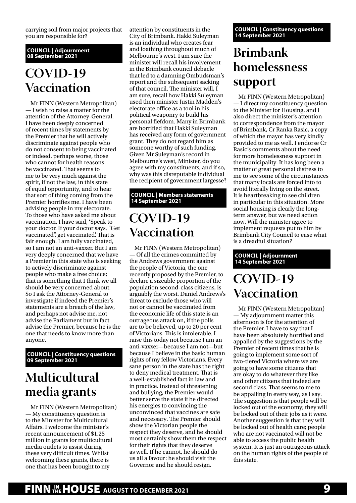<span id="page-8-0"></span>carrying soil from major projects that you are responsible for?

#### **COUNCIL | Adjournment 08 September 2021**

### **COVID-19 Vaccination**

Mr FINN (Western Metropolitan) — I wish to raise a matter for the attention of the Attorney-General. I have been deeply concerned of recent times by statements by the Premier that he will actively discriminate against people who do not consent to being vaccinated or indeed, perhaps worse, those who cannot for health reasons be vaccinated. That seems to me to be very much against the spirit, if not the law, in this state of equal opportunity, and to hear that sort of thing coming from the Premier horrifies me. I have been advising people in my electorate. To those who have asked me about vaccination, I have said, 'Speak to your doctor. If your doctor says, "Get vaccinated", get vaccinated'. That is fair enough. I am fully vaccinated, so I am not an anti-vaxxer. But I am very deeply concerned that we have a Premier in this state who is seeking to actively discriminate against people who make a free choice; that is something that I think we all should be very concerned about. So I ask the Attorney-General to investigate if indeed the Premier's statements are a breach of the law, and perhaps not advise me, not advise the Parliament but in fact advise the Premier, because he is the one that needs to know more than anyone.

**COUNCIL | Constituency questions 09 September 2021**

### **Multicultural media grants**

Mr FINN (Western Metropolitan) — My constituency question is to the Minister for Multicultural Affairs. I welcome the minister's recent announcement of \$1.25 million in grants for multicultural media outlets to assist during these very difficult times. Whilst welcoming these grants, there is one that has been brought to my

attention by constituents in the City of Brimbank. Hakki Suleyman is an individual who creates fear and loathing throughout much of Melbourne's west. I am sure the minister will recall his involvement in the Brimbank council debacle that led to a damning Ombudsman's report and the subsequent sacking of that council. The minister will, I am sure, recall how Hakki Suleyman used then minister Justin Madden's electorate office as a tool in his political weaponry to build his personal fiefdom. Many in Brimbank are horrified that Hakki Suleyman has received any form of government grant. They do not regard him as someone worthy of such funding. Given Mr Suleyman's record in Melbourne's west, Minister, do you agree with my constituents, and if so, why was this disreputable individual the recipient of government largesse?

#### **COUNCIL | Members statements 14 September 2021**

# **COVID-19 Vaccination**

Mr FINN (Western Metropolitan) — Of all the crimes committed by the Andrews government against the people of Victoria, the one recently proposed by the Premier, to declare a sizeable proportion of the population second-class citizens, is arguably the worst. Daniel Andrews's threat to exclude those who will not or cannot be vaccinated from the economic life of this state is an outrageous attack on, if the polls are to be believed, up to 20 per cent of Victorians. This is intolerable. I raise this today not because I am an anti-vaxxer—because I am not—but because I believe in the basic human rights of my fellow Victorians. Every sane person in the state has the right to deny medical treatment. That is a well-established fact in law and in practice. Instead of threatening and bullying, the Premier would better serve the state if he directed his energies to convincing the unconvinced that vaccines are safe and necessary. The Premier should show the Victorian people the respect they deserve, and he should most certainly show them the respect for their rights that they deserve as well. If he cannot, he should do us all a favour: he should visit the Governor and he should resign.

**COUNCIL | Constituency questions 14 September 2021**

# **Brimbank homelessness support**

Mr FINN (Western Metropolitan) — I direct my constituency question to the Minister for Housing, and I also direct the minister's attention to correspondence from the mayor of Brimbank, Cr Ranka Rasic, a copy of which the mayor has very kindly provided to me as well. I endorse Cr Rasic's comments about the need for more homelessness support in the municipality. It has long been a matter of great personal distress to me to see some of the circumstances that many locals are forced into to avoid literally living on the street. It is heartbreaking to see children in particular in this situation. More social housing is clearly the longterm answer, but we need action now. Will the minister agree to implement requests put to him by Brimbank City Council to ease what is a dreadful situation?

#### **COUNCIL | Adjournment 14 September 2021**

# **COVID-19 Vaccination**

Mr FINN (Western Metropolitan) — My adjournment matter this afternoon is for the attention of the Premier. I have to say that I have been absolutely horrified and appalled by the suggestions by the Premier of recent times that he is going to implement some sort of two-tiered Victoria where we are going to have some citizens that are okay to do whatever they like and other citizens that indeed are second class. That seems to me to be appalling in every way, as I say. The suggestion is that people will be locked out of the economy; they will be locked out of their jobs as it were. Another suggestion is that they will be locked out of health care; people who are not vaccinated will not be able to access the public health system. It is just an outrageous attack on the human rights of the people of this state.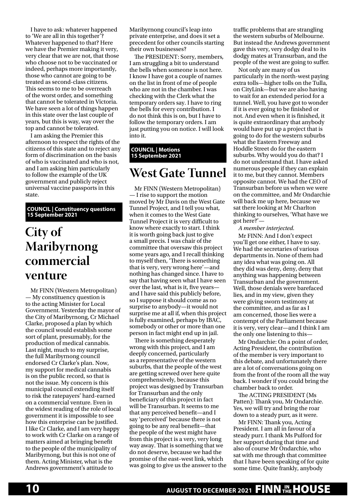<span id="page-9-0"></span>I have to ask: whatever happened to 'We are all in this together'? Whatever happened to that? Here we have the Premier making it very, very clear that we are not, that those who choose not to be vaccinated or indeed, perhaps more importantly, those who cannot are going to be treated as second-class citizens. This seems to me to be overreach of the worst order, and something that cannot be tolerated in Victoria. We have seen a lot of things happen in this state over the last couple of years, but this is way, way over the top and cannot be tolerated.

I am asking the Premier this afternoon to respect the rights of the citizens of this state and to reject any form of discrimination on the basis of who is vaccinated and who is not, and I am asking him particularly to follow the example of the UK government and publicly reject universal vaccine passports in this state.

**COUNCIL | Constituency questions 15 September 2021**

### **City of Maribyrnong commercial venture**

Mr FINN (Western Metropolitan) — My constituency question is to the acting Minister for Local Government. Yesterday the mayor of the City of Maribyrnong, Cr Michael Clarke, proposed a plan by which the council would establish some sort of plant, presumably, for the production of medical cannabis. Last night, much to my surprise, the full Maribyrnong council endorsed Cr Clarke's plan. Now, my support for medical cannabis is on the public record, so that is not the issue. My concern is this municipal council extending itself to risk the ratepayers' hard-earned on a commercial venture. Even in the widest reading of the role of local government it is impossible to see how this enterprise can be justified. I like Cr Clarke, and I am very happy to work with Cr Clarke on a range of matters aimed at bringing benefit to the people of the municipality of Maribyrnong, but this is not one of them. Acting Minister, what is the Andrews government's attitude to

Maribyrnong council's leap into private enterprise, and does it set a precedent for other councils starting their own businesses?

The PRESIDENT: Sorry, members, I am struggling a bit to understand the bells when someone is not here. I know I have got a couple of names on the list in front of me of people who are not in the chamber. I was checking with the Clerk what the temporary orders say. I have to ring the bells for every contribution. I do not think this is on, but I have to follow the temporary orders. I am just putting you on notice. I will look into it.

**COUNCIL | Motions 15 September 2021**

### **West Gate Tunnel**

Mr FINN (Western Metropolitan) — I rise to support the motion moved by Mr Davis on the West Gate Tunnel Project, and I tell you what, when it comes to the West Gate Tunnel Project it is very difficult to know where exactly to start. I think it is worth going back just to give a small precis. I was chair of the committee that oversaw this project some years ago, and I recall thinking to myself then, 'There is something that is very, very wrong here'—and nothing has changed since. I have to say that having seen what I have seen over the last, what is it, five years and I have said this publicly before, so I suppose it should come as no surprise to anybody—it would not surprise me at all if, when this project is fully examined, perhaps by IBAC, somebody or other or more than one person in fact might end up in jail.

There is something desperately wrong with this project, and I am deeply concerned, particularly as a representative of the western suburbs, that the people of the west are getting screwed over here quite comprehensively, because this project was designed by Transurban for Transurban and the only beneficiary of this project in fact will be Transurban. It seems to me that any perceived benefit—and I say 'perceived' because there is not going to be any real benefit—that the people of the west might have from this project is a very, very long way away. That is something that we do not deserve, because we had the promise of the east–west link, which was going to give us the answer to the traffic problems that are strangling the western suburbs of Melbourne. But instead the Andrews government gave this very, very dodgy deal to its dodgy mates at Transurban, and the people of the west are going to suffer.

Not only are many of us particularly in the north-west paying extra tolls—higher tolls on the Tulla, on CityLink—but we are also having to wait for an extended period for a tunnel. Well, you have got to wonder if it is ever going to be finished or not. And even when it is finished, it is quite extraordinary that anybody would have put up a project that is going to do for the western suburbs what the Eastern Freeway and Hoddle Street do for the eastern suburbs. Why would you do that? I do not understand that. I have asked numerous people if they can explain it to me, but they cannot. Members opposite cannot. We had the CEO of Transurban before us when we were on the committee, and Mr Ondarchie will back me up here, because we sat there looking at Mr Charlton thinking to ourselves, 'What have we got here?'—

*A member interjected.*

Mr FINN: And I don't expect you'll get one either, I have to say. We had the secretaries of various departments in. None of them had any idea what was going on. All they did was deny, deny, deny that anything was happening between Transurban and the government. Well, those denials were barefaced lies, and in my view, given they were giving sworn testimony at the committee, and as far as I am concerned, those lies were a contempt of the Parliament because it is very, very clear—and I think I am the only one listening to this—

Mr Ondarchie: On a point of order, Acting President, the contribution of the member is very important to this debate, and unfortunately there are a lot of conversations going on from the front of the room all the way back. I wonder if you could bring the chamber back to order.

The ACTING PRESIDENT (Ms Patten): Thank you, Mr Ondarchie. Yes, we will try and bring the roar down to a steady purr, as it were.

Mr FINN: Thank you, Acting President. I am all in favour of a steady purr. I thank Ms Pulford for her support during that time and also of course Mr Ondarchie, who sat with me through that committee that I have been speaking of for quite some time. Quite frankly, anybody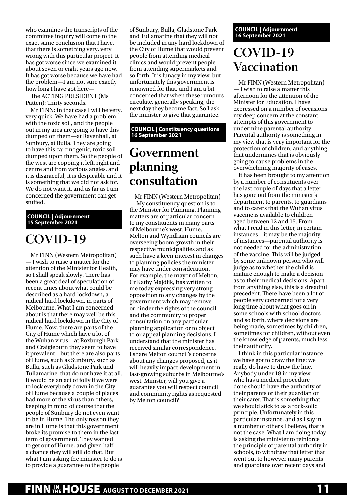<span id="page-10-0"></span>who examines the transcripts of the committee inquiry will come to the exact same conclusion that I have, that there is something very, very wrong with this particular project. It has got worse since we examined it about seven or eight years ago now. It has got worse because we have had the problem—I am not sure exactly how long I have got here—

The ACTING PRESIDENT (Ms Patten): Thirty seconds.

Mr FINN: In that case I will be very, very quick. We have had a problem with the toxic soil, and the people out in my area are going to have this dumped on them—at Ravenhall, at Sunbury, at Bulla. They are going to have this carcinogenic, toxic soil dumped upon them. So the people of the west are copping it left, right and centre and from various angles, and it is disgraceful, it is despicable and it is something that we did not ask for. We do not want it, and as far as I am concerned the government can get stuffed.

#### **COUNCIL | Adjournment 15 September 2021**

### **COVID-19**

Mr FINN (Western Metropolitan) — I wish to raise a matter for the attention of the Minister for Health, so I shall speak slowly. There has been a great deal of speculation of recent times about what could be described as a hard lockdown, a radical hard lockdown, in parts of Melbourne. What I am concerned about is that there may well be this radical hard lockdown in the City of Hume. Now, there are parts of the City of Hume which have a lot of the Wuhan virus—at Roxburgh Park and Craigieburn they seem to have it prevalent—but there are also parts of Hume, such as Sunbury, such as Bulla, such as Gladstone Park and Tullamarine, that do not have it at all. It would be an act of folly if we were to lock everybody down in the City of Hume because a couple of places had more of the virus than others, keeping in mind of course that the people of Sunbury do not even want to be in Hume. The only reason they are in Hume is that this government broke its promise to them in the last term of government. They wanted to get out of Hume, and given half a chance they will still do that. But what I am asking the minister to do is to provide a guarantee to the people

of Sunbury, Bulla, Gladstone Park and Tullamarine that they will not be included in any hard lockdown of the City of Hume that would prevent people from attending medical clinics and would prevent people from attending supermarkets and so forth. It is lunacy in my view, but unfortunately this government is renowned for that, and I am a bit concerned that when these rumours circulate, generally speaking, the next day they become fact. So I ask the minister to give that guarantee.

#### **COUNCIL | Constituency questions 16 September 2021**

### **Government planning consultation**

Mr FINN (Western Metropolitan) — My constituency question is to the Minister for Planning. Planning matters are of particular concern to my constituents in many parts of Melbourne's west. Hume, Melton and Wyndham councils are overseeing boom growth in their respective municipalities and as such have a keen interest in changes to planning policies the minister may have under consideration. For example, the mayor of Melton, Cr Kathy Majdlik, has written to me today expressing very strong opposition to any changes by the government which may remove or hinder the rights of the council and the community to proper consultation on any particular planning application or to object to or appeal planning decisions. I understand that the minister has received similar correspondence. I share Melton council's concerns about any changes proposed, as it will heavily impact development in fast-growing suburbs in Melbourne's west. Minister, will you give a guarantee you will respect council and community rights as requested by Melton council?

#### **COUNCIL | Adjournment 16 September 2021**

### **COVID-19 Vaccination**

Mr FINN (Western Metropolitan) — I wish to raise a matter this afternoon for the attention of the Minister for Education. I have expressed on a number of occasions my deep concern at the constant attempts of this government to undermine parental authority. Parental authority is something in my view that is very important for the protection of children, and anything that undermines that is obviously going to cause problems in the overwhelming majority of cases.

It has been brought to my attention by a number of constituents over the last couple of days that a letter has gone out from the minister's department to parents, to guardians and to carers that the Wuhan virus vaccine is available to children aged between 12 and 15. From what I read in this letter, in certain instances—it may be the majority of instances—parental authority is not needed for the administration of the vaccine. This will be judged by some unknown person who will judge as to whether the child is mature enough to make a decision as to their medical decisions. Apart from anything else, this is a dreadful precedent. There have been a lot of people very concerned for a very long time about what goes on in some schools with school doctors and so forth, where decisions are being made, sometimes by children, sometimes for children, without even the knowledge of parents, much less their authority.

I think in this particular instance we have got to draw the line; we really do have to draw the line. Anybody under 18 in my view who has a medical procedure done should have the authority of their parents or their guardian or their carer. That is something that we should stick to as a rock-solid principle. Unfortunately in this particular instance, and as I say in a number of others I believe, that is not the case. What I am doing today is asking the minister to reinforce the principle of parental authority in schools, to withdraw that letter that went out to however many parents and guardians over recent days and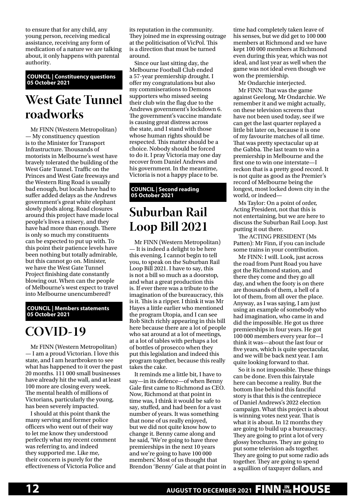<span id="page-11-0"></span>to ensure that for any child, any young person, receiving medical assistance, receiving any form of medication of a nature we are talking about, it only happens with parental authority.

**COUNCIL | Constituency questions 05 October 2021**

### **West Gate Tunnel roadworks**

Mr FINN (Western Metropolitan) — My constituency question is to the Minister for Transport Infrastructure. Thousands of motorists in Melbourne's west have bravely tolerated the building of the West Gate Tunnel. Traffic on the Princes and West Gate freeways and the Western Ring Road is usually bad enough, but locals have had to suffer added delays as the Andrews government's great white elephant slowly plods along. Road closures around this project have made local people's lives a misery, and they have had more than enough. There is only so much my constituents can be expected to put up with. To this point their patience levels have been nothing but totally admirable, but this cannot go on. Minister, we have the West Gate Tunnel Project finishing date constantly blowing out. When can the people of Melbourne's west expect to travel into Melbourne unencumbered?

#### **COUNCIL | Members statements 05 October 2021**

### **COVID-19**

Mr FINN (Western Metropolitan) — I am a proud Victorian. I love this state, and I am heartbroken to see what has happened to it over the past 20 months. 111 000 small businesses have already hit the wall, and at least 100 more are closing every week. The mental health of millions of Victorians, particularly the young, has been severely impacted.

I should at this point thank the many serving and former police officers who went out of their way to let me know they understood perfectly what my recent comment was referring to, and indeed they supported me. Like me, their concern is purely for the effectiveness of Victoria Police and

its reputation in the community. They joined me in expressing outrage at the politicisation of VicPol. This is a direction that must be turned around.

Since our last sitting day, the Melbourne Football Club ended a 57-year premiership drought. I offer my congratulations but also my commiserations to Demons supporters who missed seeing their club win the flag due to the Andrews government's lockdown 6. The government's vaccine mandate is causing great distress across the state, and I stand with those whose human rights should be respected. This matter should be a choice. Nobody should be forced to do it. I pray Victoria may one day recover from Daniel Andrews and his government. In the meantime, Victoria is not a happy place to be.

#### **COUNCIL | Second reading 05 October 2021**

### **Suburban Rail Loop Bill 2021**

Mr FINN (Western Metropolitan) — It is indeed a delight to be here this evening, I cannot begin to tell you, to speak on the Suburban Rail Loop Bill 2021. I have to say, this is not a bill so much as a doorstop, and what a great production this is. If ever there was a tribute to the imagination of the bureaucracy, this is it. This is a ripper. I think it was Mr Hayes a little earlier who mentioned the program Utopia, and I can see Rob Sitch richly appearing in this bill here because there are a lot of people who sat around at a lot of meetings, at a lot of tables with perhaps a lot of bottles of prosecco when they put this legislation and indeed this program together, because this really takes the cake.

It reminds me a little bit, I have to say—in its defence—of when Benny Gale first came to Richmond as CEO. Now, Richmond at that point in time was, I think it would be safe to say, stuffed, and had been for a vast number of years. It was something that none of us really enjoyed, but we did not quite know how to change it. Benny came along and he said, 'We're going to have three premierships in the next 10 years and we're going to have 100 000 members'. Most of us thought that Brendon 'Benny' Gale at that point in time had completely taken leave of his senses, but we did get to 100 000 members at Richmond and we have kept 100 000 members at Richmond even during this year, which was not ideal, and last year as well when the game was not ideal even though we won the premiership.

Mr Ondarchie interjected.

Mr FINN: That was the game against Geelong, Mr Ondarchie. We remember it and we might actually, on these television screens that have not been used today, see if we can get the last quarter replayed a little bit later on, because it is one of my favourite matches of all time. That was pretty spectacular up at the Gabba. The last team to win a premiership in Melbourne and the first one to win one interstate—I reckon that is a pretty good record. It is not quite as good as the Premier's record of Melbourne being the longest, most locked down city in the world, or indeed—

Ms Taylor: On a point of order, Acting President, not that this is not entertaining, but we are here to discuss the Suburban Rail Loop. Just putting it out there.

The ACTING PRESIDENT (Ms Patten): Mr Finn, if you can include some trains in your contribution.

Mr FINN: I will. Look, just across the road from Punt Road you have got the Richmond station, and there they come and they go all day, and when the footy is on there are thousands of them, a hell of a lot of them, from all over the place. Anyway, as I was saying, I am just using an example of somebody who had imagination, who came in and did the impossible. He got us three premierships in four years. He got 100 000 members every year for—I think it was—about the last four or five years, which is quite spectacular, and we will be back next year. I am quite looking forward to that.

So it is not impossible. These things can be done. Even this fairytale here can become a reality. But the bottom line behind this fanciful story is that this is the centrepiece of Daniel Andrews's 2022 election campaign. What this project is about is winning votes next year. That is what it is about. In 12 months they are going to build up a bureaucracy. They are going to print a lot of very glossy brochures. They are going to put some television ads together. They are going to put some radio ads together. They are going to spend a squillion of taxpayer dollars, and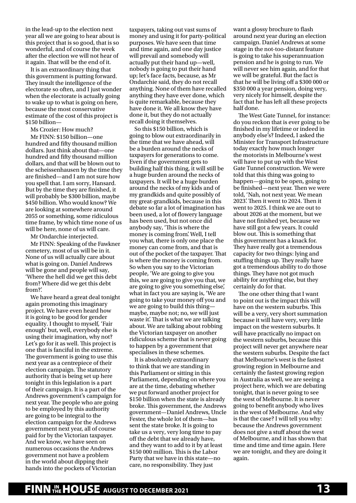in the lead-up to the election next year all we are going to hear about is this project that is so good, that is so wonderful, and of course the week after the election we will not hear of it again. That will be the end of it.

It is an extraordinary thing that this government is putting forward. They insult the intelligence of the electorate so often, and I just wonder when the electorate is actually going to wake up to what is going on here, because the most conservative estimate of the cost of this project is \$150 billion—

Ms Crozier: How much?

Mr FINN: \$150 billion—one hundred and fifty thousand million dollars. Just think about that—one hundred and fifty thousand million dollars, and that will be blown out to the scheissenhausen by the time they are finished—and I am not sure how you spell that. I am sorry, Hansard. But by the time they are finished, it will probably be \$300 billion, maybe \$450 billion. Who would know? We are looking at somewhere around 2055 or something, some ridiculous time frame, by which time none of us will be here, none of us will care.

Mr Ondarchie interjected.

Mr FINN: Speaking of the Fawkner cemetery, most of us will be in it. None of us will actually care about what is going on. Daniel Andrews will be gone and people will say, 'Where the hell did we get this debt from? Where did we get this debt from?'.

We have heard a great deal tonight again promoting this imaginary project. We have even heard how it is going to be good for gender equality. I thought to myself, 'Fair enough' but, well, everybody else is using their imagination, why not? Let's go for it as well. This project is one that is fanciful in the extreme. The government is going to use this next year as a centrepiece of their election campaign. The statutory authority that is being set up here tonight in this legislation is a part of their campaign. It is a part of the Andrews government's campaign for next year. The people who are going to be employed by this authority are going to be integral to the election campaign for the Andrews government next year, all of course paid for by the Victorian taxpayer. And we know, we have seen on numerous occasions the Andrews government not have a problem in the world about dipping their hands into the pockets of Victorian

taxpayers, taking out vast sums of money and using it for party-political purposes. We have seen that time and time again, and one day justice will prevail and somebody will actually put their hand up—well, nobody is going to put their hand up; let's face facts, because, as Mr Ondarchie said, they do not recall anything. None of them have recalled anything they have ever done, which is quite remarkable, because they have done it. We all know they have done it, but they do not actually recall doing it themselves.

So this \$150 billion, which is going to blow out extraordinarily in the time that we have ahead, will be a burden around the necks of taxpayers for generations to come. Even if the government gets to building half this thing, it will still be a huge burden around the necks of taxpayers. It will be a huge burden around the necks of my kids and of my grandkids and quite possibly of my great-grandkids, because in this debate so far a lot of imagination has been used, a lot of flowery language has been used, but not once did anybody say, 'This is where the money is coming from'. Well, I tell you what, there is only one place the money can come from, and that is out of the pocket of the taxpayer. That is where the money is coming from. So when you say to the Victorian people, 'We are going to give you this, we are going to give you that, we are going to give you something else', what in fact you are saying is, 'We are going to take your money off you and we are going to build this thing maybe, maybe not; no, we will just waste it. That is what we are talking about. We are talking about robbing the Victorian taxpayer on another ridiculous scheme that is never going to happen by a government that specialises in these schemes.

It is absolutely extraordinary to think that we are standing in this Parliament or sitting in this Parliament, depending on where you are at the time, debating whether we put forward another project for \$150 billion when the state is already broke. This government, the Andrews government—Daniel Andrews, Uncle Fester, the whole lot of them—has sent the state broke. It is going to take us a very, very long time to pay off the debt that we already have, and they want to add to it by at least \$150 000 million. This is the Labor Party that we have in this state—no care, no responsibility. They just

want a glossy brochure to flash around next year during an election campaign. Daniel Andrews at some stage in the not-too-distant feature is going to take his superannuation pension and he is going to run. We will never see him again, and for that we will be grateful. But the fact is that he will be living off a \$300 000 or \$350 000 a year pension, doing very, very nicely for himself, despite the fact that he has left all these projects half done.

The West Gate Tunnel, for instance: do you reckon that is ever going to be finished in my lifetime or indeed in anybody else's? Indeed, I asked the Minister for Transport Infrastructure today exactly how much longer the motorists in Melbourne's west will have to put up with the West Gate Tunnel construction. We were told that this thing was going to happen—going to be open, going to be finished—next year. Then we were told, 'Nah, not next year. We mean 2023'. Then it went to 2024. Then it went to 2025. I think we are out to about 2026 at the moment, but we have not finished yet, because we have still got a few years. It could blow out. This is something that this government has a knack for. They have really got a tremendous capacity for two things: lying and stuffing things up. They really have got a tremendous ability to do those things. They have not got much ability for anything else, but they certainly do for that.

The one other thing that I want to point out is the impact this will have on the western suburbs. This will be a very, very short summation because it will have very, very little impact on the western suburbs. It will have practically no impact on the western suburbs, because this project will never get anywhere near the western suburbs. Despite the fact that Melbourne's west is the fastest growing region in Melbourne and certainly the fastest growing region in Australia as well, we are seeing a project here, which we are debating tonight, that is never going to see the west of Melbourne. It is never going to benefit anybody who lives in the west of Melbourne. And why is that the case? I will tell you why: because the Andrews government does not give a stuff about the west of Melbourne, and it has shown that time and time and time again. Here we are tonight, and they are doing it again.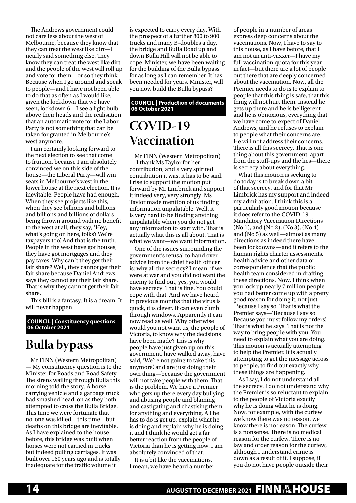<span id="page-13-0"></span>The Andrews government could not care less about the west of Melbourne, because they know that they can treat the west like dirt—I nearly said something else. They know they can treat the west like dirt and the people of the west will roll up and vote for them—or so they think. Because when I go around and speak to people—and I have not been able to do that as often as I would like, given the lockdown that we have seen, lockdown 6—I see a light bulb above their heads and the realisation that an automatic vote for the Labor Party is not something that can be taken for granted in Melbourne's west anymore.

I am certainly looking forward to the next election to see that come to fruition, because I am absolutely convinced we on this side of the house—the Liberal Party—will win seats in Melbourne's west in the lower house at the next election. It is inevitable. People have had enough. When they see projects like this, when they see billions and billions and billions and billions of dollars being thrown around with no benefit to the west at all, they say, 'Hey, what's going on here, folks? We're taxpayers too'. And that is the truth. People in the west have got houses, they have got mortgages and they pay taxes. Why can't they get their fair share? Well, they cannot get their fair share because Daniel Andrews says they cannot get their fair share. That is why they cannot get their fair share.

This bill is a fantasy. It is a dream. It will never happen.

#### **COUNCIL | Constituency questions 06 October 2021**

# **Bulla bypass**

Mr FINN (Western Metropolitan) — My constituency question is to the Minister for Roads and Road Safety. The sirens wailing through Bulla this morning told the story. A horsecarrying vehicle and a garbage truck had smashed head-on as they both attempted to cross the Bulla Bridge. This time we were fortunate that no-one was killed—this time—but deaths on this bridge are inevitable. As I have explained to the house before, this bridge was built when horses were not carried in trucks but indeed pulling carriages. It was built over 160 years ago and is totally inadequate for the traffic volume it

is expected to carry every day. With the prospect of a further 800 to 900 trucks and many B-doubles a day, the bridge and Bulla Road up and down Bulla Hill will not be able to cope. Minister, we have been waiting for the building of the Bulla bypass for as long as I can remember. It has been needed for years. Minister, will you now build the Bulla bypass?

#### **COUNCIL | Production of documents 06 October 2021**

### **COVID-19 Vaccination**

Mr FINN (Western Metropolitan) — I thank Ms Taylor for her contribution, and a very spirited contribution it was, it has to be said. I rise to support the motion put forward by Mr Limbrick and support it indeed very, very strongly. Ms Taylor made mention of us finding information unpalatable. Well, it is very hard to be finding anything unpalatable when you do not get any information to start with. That is actually what this is all about. That is what we want—we want information.

One of the issues surrounding the government's refusal to hand over advice from the chief health officer is: why all the secrecy? I mean, if we were at war and you did not want the enemy to find out, yes, you would have secrecy. That is fine. You could cope with that. And we have heard in previous months that the virus is quick, it is clever. It can even climb through windows. Apparently it can now read as well. Why otherwise would you not want us, the people of Victoria, to know why the decisions have been made? This is why people have just given up on this government, have walked away, have said, 'We're not going to take this anymore', and are just doing their own thing—because the government will not take people with them. That is the problem. We have a Premier who gets up there every day bullying and abusing people and blaming and castigating and chastising them for anything and everything. All he has to do is get up, explain what he is doing and explain why he is doing it and I think he would get a far better reaction from the people of Victoria than he is getting now. I am absolutely convinced of that.

It is a bit like the vaccinations. I mean, we have heard a number

of people in a number of areas express deep concerns about the vaccinations. Now, I have to say to this house, as I have before, that I am not an anti-vaxxer—I have my full vaccination quota for this year in fact—but there are a lot of people out there that are deeply concerned about the vaccination. Now, all the Premier needs to do is to explain to people that this thing is safe, that this thing will not hurt them. Instead he gets up there and he is belligerent and he is obnoxious, everything that we have come to expect of Daniel Andrews, and he refuses to explain to people what their concerns are. He will not address their concerns. There is all this secrecy. That is one thing about this government, apart from the stuff-ups and the lies—there is secrecy about everything.

What this motion is seeking to do today is to break down a bit of that secrecy, and for that Mr Limbrick has my support and indeed my admiration. I think this is a particularly good motion because it does refer to the COVID-19 Mandatory Vaccination Directions (No 1), and (No 2), (No 3), (No 4) and (No 5) as well—almost as many directions as indeed there have been lockdowns—and it refers to the human rights charter assessments, health advice and other data or correspondence that the public health team considered in drafting these directions. Now, I think when you lock up nearly 7 million people you had better come up with a pretty good reason for doing it, not just 'Because I say so'. That is what the Premier says—'Because I say so. Because you must follow my orders'. That is what he says. That is not the way to bring people with you. You need to explain what you are doing. This motion is actually attempting to help the Premier. It is actually attempting to get the message across to people, to find out exactly why these things are happening.

As I say, I do not understand all the secrecy. I do not understand why the Premier is so reluctant to explain to the people of Victoria exactly why he is doing what he is doing. Now, for example, with the curfew we know there was no reason, we know there is no reason. The curfew is a nonsense. There is no medical reason for the curfew. There is no law and order reason for the curfew, although I understand crime is down as a result of it. I suppose, if you do not have people outside their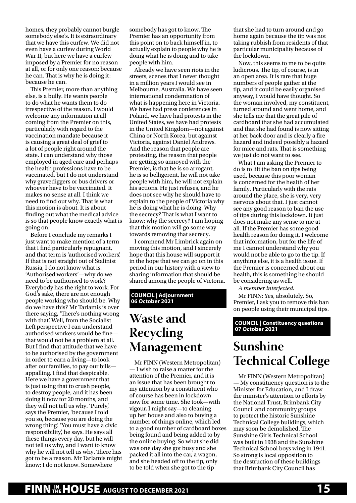<span id="page-14-0"></span>homes, they probably cannot burgle somebody else's. It is extraordinary that we have this curfew. We did not even have a curfew during World War II, but here we have a curfew imposed by a Premier for no reason at all, or for only one reason: because he can. That is why he is doing it: because he can.

This Premier, more than anything else, is a bully. He wants people to do what he wants them to do irrespective of the reason. I would welcome any information at all coming from the Premier on this, particularly with regard to the vaccination mandate because it is causing a great deal of grief to a lot of people right around the state. I can understand why those employed in aged care and perhaps the health professions have to be vaccinated, but I do not understand why gravediggers or bus drivers or whoever have to be vaccinated. It makes no sense at all. I think we need to find out why. That is what this motion is about. It is about finding out what the medical advice is so that people know exactly what is going on.

Before I conclude my remarks I just want to make mention of a term that I find particularly repugnant, and that term is 'authorised workers'. If that is not straight out of Stalinist Russia, I do not know what is. 'Authorised workers'—why do we need to be authorised to work? Everybody has the right to work. For God's sake, there are not enough people working who should be. Why do we have this? Mr Tarlamis is over there saying, 'There's nothing wrong with that'. Well, from the Socialist Left perspective I can understand authorised workers would be fine that would not be a problem at all. But I find that attitude that we have to be authorised by the government in order to earn a living—to look after our families, to pay our bills appalling. I find that despicable. Here we have a government that is just using that to crush people, to destroy people, and it has been doing it now for 20 months, and they will not tell us why. 'Purely', says the Premier, 'because I told you so, because you are doing the wrong thing'. 'You must have a civic responsibility', he says. He says all these things every day, but he will not tell us why, and I want to know why he will not tell us why. There has got to be a reason. Mr Tarlamis might know; I do not know. Somewhere

somebody has got to know. The Premier has an opportunity from this point on to back himself in, to actually explain to people why he is doing what he is doing and to take people with him.

Already we have seen riots in the streets, scenes that I never thought in a million years I would see in Melbourne, Australia. We have seen international condemnation of what is happening here in Victoria. We have had press conferences in Poland, we have had protests in the United States, we have had protests in the United Kingdom—not against China or North Korea, but against Victoria, against Daniel Andrews. And the reason that people are protesting, the reason that people are getting so annoyed with the Premier, is that he is so arrogant, he is so belligerent, he will not take people with him, he will not explain his actions. He just refuses, and he does not see why he should have to explain to the people of Victoria why he is doing what he is doing. Why the secrecy? That is what I want to know: why the secrecy? I am hoping that this motion will go some way towards removing that secrecy.

I commend Mr Limbrick again on moving this motion, and I sincerely hope that this house will support it in the hope that we can go on in this period in our history with a view to sharing information that should be shared among the people of Victoria.

#### **COUNCIL | Adjournment 06 October 2021**

### **Waste and Recycling Management**

Mr FINN (Western Metropolitan) — I wish to raise a matter for the attention of the Premier, and it is an issue that has been brought to my attention by a constituent who of course has been in lockdown now for some time. She took—with vigour, I might say—to cleaning up her house and also to buying a number of things online, which led to a good number of cardboard boxes being found and being added to by the online buying. So what she did was one day she got busy and she packed it all into the car, a wagon, and she headed off to the tip, only to be told when she got to the tip

that she had to turn around and go home again because the tip was not taking rubbish from residents of that particular municipality because of the lockdown.

Now, this seems to me to be quite ludicrous. The tip, of course, is in an open area. It is rare that huge numbers of people gather at the tip, and it could be easily organised anyway, I would have thought. So the woman involved, my constituent, turned around and went home, and she tells me that the great pile of cardboard that she had accumulated and that she had found is now sitting at her back door and is clearly a fire hazard and indeed possibly a hazard for mice and rats. That is something we just do not want to see.

What I am asking the Premier to do is to lift the ban on tips being used, because this poor woman is concerned for the health of her family. Particularly with the rats around the place, she is very, very nervous about that. I just cannot see any good reason to ban the use of tips during this lockdown. It just does not make any sense to me at all. If the Premier has some good health reason for doing it, I welcome that information, but for the life of me I cannot understand why you would not be able to go to the tip. If anything else, it is a health issue. If the Premier is concerned about our health, this is something he should be considering as well.

*A member interjected.*

Mr FINN: Yes, absolutely. So, Premier, I ask you to remove this ban on people using their municipal tips.

**COUNCIL | Constituency questions 07 October 2021**

# **Sunshine Technical College**

Mr FINN (Western Metropolitan) — My constituency question is to the Minister for Education, and I draw the minister's attention to efforts by the National Trust, Brimbank City Council and community groups to protect the historic Sunshine Technical College buildings, which may soon be demolished. The Sunshine Girls Technical School was built in 1938 and the Sunshine Technical School boys wing in 1941. So strong is local opposition to the destruction of these buildings that Brimbank City Council has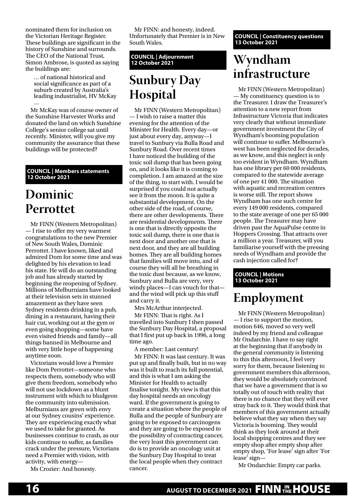<span id="page-15-0"></span>nominated them for inclusion on the Victorian Heritage Register. These buildings are significant in the history of Sunshine and surrounds. The CEO of the National Trust, Simon Ambrose, is quoted as saying the buildings are:

… of national historical and social significance as part of a suburb created by Australia's leading industrialist, HV McKay …

Mr McKay was of course owner of the Sunshine Harvester Works and donated the land on which Sunshine College's senior college sat until recently. Minister, will you give my community the assurance that these buildings will be protected?

#### **COUNCIL | Members statements 12 October 2021**

### **Dominic Perrottet**

Mr FINN (Western Metropolitan) — I rise to offer my very warmest congratulations to the new Premier of New South Wales, Dominic Perrottet. I have known, liked and admired Dom for some time and was delighted by his elevation to lead his state. He will do an outstanding job and has already started by beginning the reopening of Sydney. Millions of Melburnians have looked at their television sets in stunned amazement as they have seen Sydney residents drinking in a pub, dining in a restaurant, having their hair cut, working out at the gym or even going shopping—some have even visited friends and family—all things banned in Melbourne and with very little hope of happening anytime soon.

Victorians would love a Premier like Dom Perrottet—someone who respects them, somebody who will give them freedom, somebody who will not use lockdown as a blunt instrument with which to bludgeon the community into submission. Melburnians are green with envy at our Sydney cousins' experience. They are experiencing exactly what we used to take for granted. As businesses continue to crash, as our kids continue to suffer, as families crack under the pressure, Victorians need a Premier with vision, with activity, with energy—

Ms Crozier: And honesty.

Mr FINN: and honesty, indeed. Unfortunately that Premier is in New South Wales.

#### **COUNCIL | Adjournment 12 October 2021**

### **Sunbury Day Hospital**

Mr FINN (Western Metropolitan) — I wish to raise a matter this evening for the attention of the Minister for Health. Every day—or just about every day, anyway—I travel to Sunbury via Bulla Road and Sunbury Road. Over recent times I have noticed the building of the toxic soil dump that has been going on, and it looks like it is coming to completion. I am amazed at the size of the thing, to start with. I would be surprised if you could not actually see it from the moon. It is quite a substantial development. On the other side of the road, of course, there are other developments. There are residential developments. There is one that is directly opposite the toxic soil dump, there is one that is next door and another one that is next door, and they are all building homes. They are all building homes that families will move into, and of course they will all be breathing in the toxic dust because, as we know, Sunbury and Bulla are very, very windy places—I can vouch for that and the wind will pick up this stuff and carry it.

Mrs McArthur interjected.

Mr FINN: That is right. As I travelled into Sunbury I then passed the Sunbury Day Hospital, a proposal that I first put up back in 1996, a long time ago.

A member: Last century! Mr FINN: It was last century. It was put up and finally built, but in no way was it built to reach its full potential, and this is what I am asking the Minister for Health to actually finalise tonight. My view is that this day hospital needs an oncology ward. If the government is going to create a situation where the people of Bulla and the people of Sunbury are going to be exposed to carcinogens and they are going to be exposed to the possibility of contracting cancer, the very least this government can do is to provide an oncology unit at the Sunbury Day Hospital to treat the local people when they contract cancer.

**COUNCIL | Constituency questions 13 October 2021**

# **Wyndham infrastructure**

Mr FINN (Western Metropolitan) — My constituency question is to the Treasurer. I draw the Treasurer's attention to a new report from Infrastructure Victoria that indicates very clearly that without immediate government investment the City of Wyndham's booming population will continue to suffer. Melbourne's west has been neglected for decades, as we know, and this neglect is only too evident in Wyndham. Wyndham has one library per 60 000 residents, compared to the statewide average of one per 41 000. The situation with aquatic and recreation centres is worse still. The report shows Wyndham has one such centre for every 149 000 residents, compared to the state average of one per 65 000 people. The Treasurer may have driven past the AquaPulse centre in Hoppers Crossing. That attracts over a million a year. Treasurer, will you familiarise yourself with the pressing needs of Wyndham and provide the cash injection called for?

**COUNCIL | Motions 13 October 2021**

### **Employment**

Mr FINN (Western Metropolitan) — I rise to support the motion, motion 646, moved so very well indeed by my friend and colleague Mr Ondarchie. I have to say right at the beginning that if anybody in the general community is listening to this this afternoon, I feel very sorry for them, because listening to government members this afternoon, they would be absolutely convinced that we have a government that is so totally out of touch with reality that there is no chance that they will ever stray back to it. They would think that members of this government actually believe what they say when they say Victoria is booming. They would think as they look around at their local shopping centres and they see empty shop after empty shop after empty shop, 'For lease' sign after 'For lease' sign—

Mr Ondarchie: Empty car parks.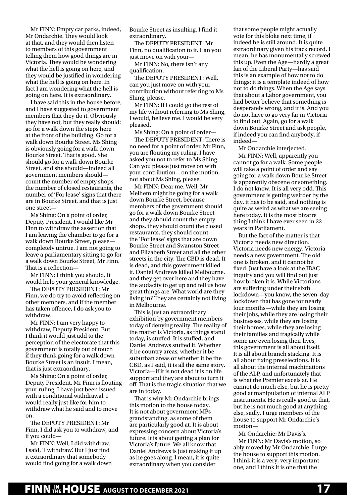Mr FINN: Empty car parks, indeed, Mr Ondarchie. They would look at that, and they would then listen to members of this government telling them how good things are in Victoria. They would be wondering what the hell is going on here, and they would be justified in wondering what the hell is going on here. In fact I am wondering what the hell is going on here. It is extraordinary.

I have said this in the house before, and I have suggested to government members that they do it. Obviously they have not, but they really should: go for a walk down the steps here at the front of the building. Go for a walk down Bourke Street. Ms Shing is obviously going for a walk down Bourke Street. That is good. She should go for a walk down Bourke Street, and she should—indeed all government members should count the number of empty shops, the number of closed restaurants, the number of 'For lease' signs that there are in Bourke Street, and that is just one street—

Ms Shing: On a point of order, Deputy President, I would like Mr Finn to withdraw the assertion that I am leaving the chamber to go for a walk down Bourke Street, please completely untrue. I am not going to leave a parliamentary sitting to go for a walk down Bourke Street, Mr Finn. That is a reflection—

Mr FINN: I think you should. It would help your general knowledge.

The DEPUTY PRESIDENT: Mr Finn, we do try to avoid reflecting on other members, and if the member has taken offence, I do ask you to withdraw.

Mr FINN: I am very happy to withdraw, Deputy President. But I think it would just add to the perception of the electorate that this government is totally out of touch if they think going for a walk down Bourke Street is an insult. I mean, that is just extraordinary.

Ms Shing: On a point of order, Deputy President, Mr Finn is flouting your ruling. I have just been issued with a conditional withdrawal. I would really just like for him to withdraw what he said and to move on.

The DEPUTY PRESIDENT: Mr Finn, I did ask you to withdraw, and if you could—

Mr FINN: Well, I did withdraw. I said, 'I withdraw'. But I just find it extraordinary that somebody would find going for a walk down Bourke Street as insulting. I find it extraordinary.

The DEPUTY PRESIDENT: Mr Finn, no qualification to it. Can you just move on with your—

Mr FINN: No, there isn't any qualification.

The DEPUTY PRESIDENT: Well, can you just move on with your contribution without referring to Ms Shing, please.

Mr FINN: If I could go the rest of my life without referring to Ms Shing, I would, believe me. I would be very pleased.

Ms Shing: On a point of order—

The DEPUTY PRESIDENT: There is no need for a point of order. Mr Finn, you are flouting my ruling. I have asked you not to refer to Ms Shing. Can you please just move on with your contribution—on the motion, not about Ms Shing, please.

Mr FINN: Dear me. Well, Mr Melhem might be going for a walk down Bourke Street, because members of the government should go for a walk down Bourke Street and they should count the empty shops, they should count the closed restaurants, they should count the 'For lease' signs that are down Bourke Street and Swanston Street and Elizabeth Street and all the other streets in the city. The CBD is dead. It is dead, and this government killed it. Daniel Andrews killed Melbourne, and they get over here and they have the audacity to get up and tell us how great things are. What world are they living in? They are certainly not living in Melbourne.

This is just an extraordinary exhibition by government members today of denying reality. The reality of the matter is Victoria, as things stand today, is stuffed. It is stuffed, and Daniel Andrews stuffed it. Whether it be country areas, whether it be suburban areas or whether it be the CBD, as I said, it is all the same story. Victoria—if it is not dead it is on life support and they are about to turn it off. That is the tragic situation that we are in today.

That is why Mr Ondarchie brings this motion to the house today. It is not about government MPs grandstanding, as some of them are particularly good at. It is about expressing concern about Victoria's future. It is about getting a plan for Victoria's future. We all know that Daniel Andrews is just making it up as he goes along. I mean, it is quite extraordinary when you consider

that some people might actually vote for this bloke next time, if indeed he is still around. It is quite extraordinary given his track record. I mean, he has monumentally screwed this up. Even the Age—hardly a great fan of the Liberal Party—has said this is an example of how not to do things; it is a template indeed of how not to do things. When the Age says that about a Labor government, you had better believe that something is desperately wrong, and it is. And you do not have to go very far in Victoria to find out. Again, go for a walk down Bourke Street and ask people, if indeed you can find anybody, if indeed—

Mr Ondarchie interjected.

Mr FINN: Well, apparently you cannot go for a walk. Some people will take a point of order and say going for a walk down Bourke Street is apparently obscene or something. I do not know. It is all very odd. This government is getting weirder by the day, it has to be said, and nothing is quite as weird as what we are seeing here today. It is the most bizarre thing I think I have ever seen in 22 years in Parliament.

But the fact of the matter is that Victoria needs new direction. Victoria needs new energy. Victoria needs a new government. The old one is broken, and it cannot be fixed. Just have a look at the IBAC inquiry and you will find out just how broken it is. While Victorians are suffering under their sixth lockdown—you know, the seven-day lockdown that has gone for nearly four months—while they are losing their jobs, while they are losing their businesses, while they are losing their homes, while they are losing their families and tragically while some are even losing their lives, this government is all about itself. It is all about branch stacking. It is all about fixing preselections. It is all about the internal machinations of the ALP, and unfortunately that is what the Premier excels at. He cannot do much else, but he is pretty good at manipulation of internal ALP instruments. He is really good at that, but he is not much good at anything else, sadly. I urge members of the house to support Mr Ondarchie's motion—

Mr Ondarchie: Mr Davis's. Mr FINN: Mr Davis's motion, so ably moved by Mr Ondarchie. I urge the house to support this motion. I think it is a very, very important one, and I think it is one that the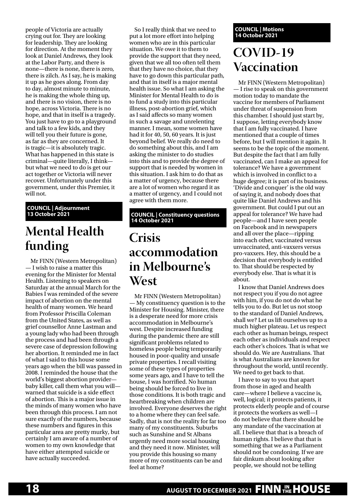<span id="page-17-0"></span>people of Victoria are actually crying out for. They are looking for leadership. They are looking for direction. At the moment they look at Daniel Andrews, they look at the Labor Party, and there is none—there is none, there is zero, there is zilch. As I say, he is making it up as he goes along. From day to day, almost minute to minute, he is making the whole thing up, and there is no vision, there is no hope, across Victoria. There is no hope, and that in itself is a tragedy. You just have to go to a playground and talk to a few kids, and they will tell you their future is gone, as far as they are concerned. It is tragic—it is absolutely tragic. What has happened in this state is criminal—quite literally, I think but what we need to do is get our act together or Victoria will never recover. Unfortunately under this government, under this Premier, it will not.

#### **COUNCIL | Adjournment 13 October 2021**

### **Mental Health funding**

Mr FINN (Western Metropolitan) — I wish to raise a matter this evening for the Minister for Mental Health. Listening to speakers on Saturday at the annual March for the Babies I was reminded of the severe impact of abortion on the mental health of many women. We heard from Professor Priscilla Coleman from the United States, as well as grief counsellor Anne Lastman and a young lady who had been through the process and had been through a severe case of depression following her abortion. It reminded me in fact of what I said to this house some years ago when the bill was passed in 2008. I reminded the house that the world's biggest abortion provider baby killer, call them what you will warned that suicide is a side effect of abortion. This is a major issue in the minds of many women who have been through this process. I am not sure exactly of the numbers, because these numbers and figures in this particular area are pretty murky, but certainly I am aware of a number of women to my own knowledge that have either attempted suicide or have actually succeeded.

So I really think that we need to put a lot more effort into helping women who are in this particular situation. We owe it to them to provide the support that they need, given that we all too often tell them that they have no choice, that they have to go down this particular path, and that in itself is a major mental health issue. So what I am asking the Minister for Mental Health to do is to fund a study into this particular illness, post-abortion grief, which as I said affects so many women in such a savage and unrelenting manner. I mean, some women have had it for 40, 50, 60 years. It is just beyond belief. We really do need to do something about this, and I am asking the minister to do studies into this and to provide the degree of support that is needed by women in this situation. I ask him to do that as a matter of urgency, because there are a lot of women who regard it as a matter of urgency, and I could not agree with them more.

**COUNCIL | Constituency questions 14 October 2021**

### **Crisis accommodation in Melbourne's West**

Mr FINN (Western Metropolitan) — My constituency question is to the Minister for Housing. Minister, there is a desperate need for more crisis accommodation in Melbourne's west. Despite increased funding during the pandemic there are still significant problems related to homeless people being temporarily housed in poor-quality and unsafe private properties. I recall visiting some of these types of properties some years ago, and I have to tell the house, I was horrified. No human being should be forced to live in those conditions. It is both tragic and heartbreaking when children are involved. Everyone deserves the right to a home where they can feel safe. Sadly, that is not the reality for far too many of my constituents. Suburbs such as Sunshine and St Albans urgently need more social housing and they need it now. Minister, will you provide this housing so many more of my constituents can be and feel at home?

#### **COUNCIL | Motions 14 October 2021**

### **COVID-19 Vaccination**

Mr FINN (Western Metropolitan) — I rise to speak on this government motion today to mandate the vaccine for members of Parliament under threat of suspension from this chamber. I should just start by, I suppose, letting everybody know that I am fully vaccinated. I have mentioned that a couple of times before, but I will mention it again. It seems to be the topic of the moment. But despite the fact that I am fully vaccinated, can I make an appeal for tolerance? We have a government which is involved in conflict to a huge degree; it is part of its business. 'Divide and conquer' is the old way of saying it, and nobody does that quite like Daniel Andrews and his government. But could I put out an appeal for tolerance? We have had people—and I have seen people on Facebook and in newspapers and all over the place—ripping into each other, vaccinated versus unvaccinated, anti-vaxxers versus pro-vaxxers. Hey, this should be a decision that everybody is entitled to. That should be respected by everybody else. That is what it is about.

I know that Daniel Andrews does not respect you if you do not agree with him, if you do not do what he tells you to do. But let us not stoop to the standard of Daniel Andrews, shall we? Let us lift ourselves up to a much higher plateau. Let us respect each other as human beings, respect each other as individuals and respect each other's choices. That is what we should do. We are Australians. That is what Australians are known for throughout the world, until recently. We need to get back to that.

I have to say to you that apart from those in aged and health care—where I believe a vaccine is, well, logical; it protects patients, it protects elderly people and of course it protects the workers as well—I do not believe that there should be any mandate of the vaccination at all. I believe that that is a breach of human rights. I believe that that is something that we as a Parliament should not be condoning. If we are fair dinkum about looking after people, we should not be telling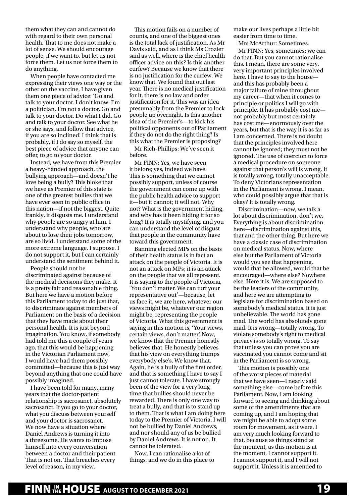them what they can and cannot do with regard to their own personal health. That to me does not make a lot of sense. We should encourage people, if we want to, but let us not force them. Let us not force them to do anything,

When people have contacted me expressing their views one way or the other on the vaccine, I have given them one piece of advice: 'Go and talk to your doctor. I don't know. I'm a politician. I'm not a doctor. Go and talk to your doctor. Do what I did. Go and talk to your doctor. See what he or she says, and follow that advice, if you are so inclined'. I think that is probably, if I do say so myself, the best piece of advice that anyone can offer, to go to your doctor.

Instead, we have from this Premier a heavy-handed approach, the bullying approach—and doesn't he love being a bully? This bloke that we have as Premier of this state is one of the greatest bullies that we have ever seen in public office in this nation—if not the biggest. Quite frankly, it disgusts me. I understand why people are so angry at him. I understand why people, who are about to lose their jobs tomorrow, are so livid. I understand some of the more extreme language, I suppose. I do not support it, but I can certainly understand the sentiment behind it.

People should not be discriminated against because of the medical decisions they make. It is a pretty fair and reasonable thing. But here we have a motion before this Parliament today to do just that, to discriminate against members of Parliament on the basis of a decision that they have made about their personal health. It is just beyond imagination. You know, if somebody had told me this a couple of years ago, that this would be happening in the Victorian Parliament now, I would have had them possibly committed—because this is just way beyond anything that one could have possibly imagined.

I have been told for many, many years that the doctor-patient relationship is sacrosanct, absolutely sacrosanct. If you go to your doctor, what you discuss between yourself and your doctor is sacrosanct. We now have a situation where Daniel Andrews is turning it into a threesome. He wants to impose himself into every conversation between a doctor and their patient. That is not on. That breaches every level of reason, in my view.

This motion fails on a number of counts, and one of the biggest ones is the total lack of justification. As Mr Davis said, and as I think Ms Crozier said as well, where is the chief health officer advice on this? Is this another curfew? Because we know that there is no justification for the curfew. We know that. We found that out last year. There is no medical justification for it, there is no law and order justification for it. This was an idea presumably from the Premier to lock people up overnight. Is this another idea of the Premier's—to kick his political opponents out of Parliament if they do not do the right thing? Is this what the Premier is proposing?

Mr Rich-Phillips: We've seen it before.

Mr FINN: Yes, we have seen it before; yes, indeed we have. This is something that we cannot possibly support, unless of course the government can come up with the public health advice to support it—but it cannot; it will not. Why not? What is the government hiding, and why has it been hiding it for so long? It is totally mystifying, and you can understand the level of disgust that people in the community have toward this government.

Banning elected MPs on the basis of their health status is in fact an attack on the people of Victoria. It is not an attack on MPs; it is an attack on the people that we all represent. It is saying to the people of Victoria, 'You don't matter. We can turf your representative out'—because, let us face it, we are here, whatever our views might be, whatever our region might be, representing the people of Victoria. What this government is saying in this motion is, 'Your views, certain views, don't matter'. Now, we know that the Premier honestly believes that. He honestly believes that his view on everything trumps everybody else's. We know that. Again, he is a bully of the first order, and that is something I have to say I just cannot tolerate. I have strongly been of the view for a very long time that bullies should never be rewarded. There is only one way to treat a bully, and that is to stand up to them. That is what I am doing here today to the Premier of Victoria. I will not be bullied by Daniel Andrews, and nor should any of us be bullied by Daniel Andrews. It is not on. It cannot be tolerated.

Now, I can rationalise a lot of things, and we do in this place to make our lives perhaps a little bit easier from time to time.

Mrs McArthur: Sometimes.

Mr FINN: Yes, sometimes; we can do that. But you cannot rationalise this. I mean, there are some very, very important principles involved here. I have to say to the house and this has probably been a major failure of mine throughout my career—that when it comes to principle or politics I will go with principle. It has probably cost me not probably but most certainly has cost me—enormously over the years, but that is the way it is as far as I am concerned. There is no doubt that the principles involved here cannot be ignored; they must not be ignored. The use of coercion to force a medical procedure on someone against that person's will is wrong. It is totally wrong, totally unacceptable. To deny Victorians representation in the Parliament is wrong. I mean, who could possibly argue that that is okay? It is totally wrong.

Discrimination—now, we talk a lot about discrimination, don't we. Everything is about discrimination here—discrimination against this, that and the other thing. But here we have a classic case of discrimination on medical status. Now, where else but the Parliament of Victoria would you see that happening, would that be allowed, would that be encouraged—where else? Nowhere else. Here it is. We are supposed to be the leaders of the community, and here we are attempting to legislate for discrimination based on somebody's medical status. It is just unbelievable. The world has gone mad. The world has absolutely gone mad. It is wrong—totally wrong. To violate somebody's right to medical privacy is so totally wrong. To say that unless you can prove you are vaccinated you cannot come and sit in the Parliament is so wrong.

This motion is possibly one of the worst pieces of material that we have seen—I nearly said something else—come before this Parliament. Now, I am looking forward to seeing and thinking about some of the amendments that are coming up, and I am hoping that we might be able to adopt some room for movement, as it were. I am very much looking forward to that, because as things stand at the moment, as this motion is at the moment, I cannot support it. I cannot support it, and I will not support it. Unless it is amended to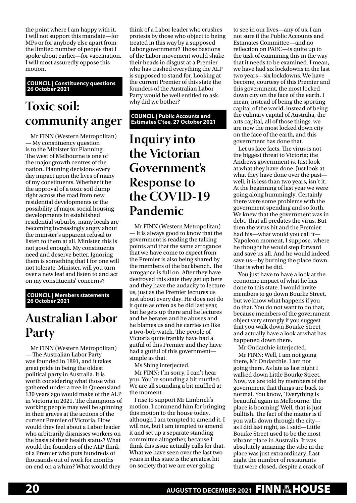<span id="page-19-0"></span>the point where I am happy with it, I will not support this mandate—for MPs or for anybody else apart from the limited number of people that I spoke about earlier—for vaccination. I will most assuredly oppose this motion.

**COUNCIL | Constituency questions 26 October 2021**

### **Toxic soil: community anger**

Mr FINN (Western Metropolitan) — My constituency question is to the Minister for Planning. The west of Melbourne is one of the major growth centres of the nation. Planning decisions every day impact upon the lives of many of my constituents. Whether it be the approval of a toxic soil dump right across the road from new residential developments or the possibility of major social housing developments in established residential suburbs, many locals are becoming increasingly angry about the minister's apparent refusal to listen to them at all. Minister, this is not good enough. My constituents need and deserve better. Ignoring them is something that I for one will not tolerate. Minister, will you turn over a new leaf and listen to and act on my constituents' concerns?

#### **COUNCIL | Members statements 26 October 2021**

### **Australian Labor Party**

Mr FINN (Western Metropolitan) — The Australian Labor Party was founded in 1891, and it takes great pride in being the oldest political party in Australia. It is worth considering what those who gathered under a tree in Queensland 130 years ago would make of the ALP in Victoria in 2021. The champions of working people may well be spinning in their graves at the actions of the current Premier of Victoria. How would they feel about a Labor leader who arbitrarily dismisses workers on the basis of their health status? What would the founders of the ALP think of a Premier who puts hundreds of thousands out of work for months on end on a whim? What would they

think of a Labor leader who crushes protests by those who object to being treated in this way by a supposed Labor government? Those bastions of the Labor movement would shake their heads in disgust at a Premier who has trashed everything the ALP is supposed to stand for. Looking at the current Premier of this state the founders of the Australian Labor Party would be well entitled to ask: why did we bother?

#### **COUNCIL | Public Accounts and Estimates C'tee, 27 October 2021**

### **Inquiry into the Victorian Government's Response to the COVID-19 Pandemic**

Mr FINN (Western Metropolitan) — It is always good to know that the government is reading the talking points and that the same arrogance that we have come to expect from the Premier is also being shared by the members of the backbench. The arrogance is full on. After they have destroyed this state they get up here and they have the audacity to lecture us, just as the Premier lectures us just about every day. He does not do it quite as often as he did last year, but he gets up there and he lectures and he berates and he abuses and he blames us and he carries on like a two-bob watch. The people of Victoria quite frankly have had a gutful of this Premier and they have had a gutful of this government simple as that.

Ms Shing interjected.

Mr FINN: I'm sorry, I can't hear you. You're sounding a bit muffled. We are all sounding a bit muffled at the moment.

I rise to support Mr Limbrick's motion. I commend him for bringing this motion to the house today, although I am tempted to amend it. I will not, but I am tempted to amend it and set up a separate standing committee altogether, because I think this issue actually calls for that. What we have seen over the last two years in this state is the greatest hit on society that we are ever going

to see in our lives—any of us. I am not sure if the Public Accounts and Estimates Committee—and no reflection on PAEC—is quite up to the task of examining this in the way that it needs to be examined. I mean, we have had six lockdowns in the last two years—six lockdowns. We have become, courtesy of this Premier and this government, the most locked down city on the face of the earth. I mean, instead of being the sporting capital of the world, instead of being the culinary capital of Australia, the arts capital, all of those things, we are now the most locked down city on the face of the earth, and this government has done that.

Let us face facts. The virus is not the biggest threat to Victoria; the Andrews government is. Just look at what they have done. Just look at what they have done over the past well, it is less than two years, isn't it. At the beginning of last year we were going along hummingly. Certainly there were some problems with the government spending and so forth. We knew that the government was in debt. That all predates the virus. But then the virus hit and the Premier had his—what would you call it— Napoleon moment, I suppose, where he thought he would step forward and save us all. And he would indeed save us—by burning the place down. That is what he did.

You just have to have a look at the economic impact of what he has done to this state. I would invite members to go down Bourke Street, but we know what happens if you do that. You do not want to do that, because members of the government object very strongly if you suggest that you walk down Bourke Street and actually have a look at what has happened down there.

Mr Ondarchie interjected.

Mr FINN: Well, I am not going there, Mr Ondarchie. I am not going there. As late as last night I walked down Little Bourke Street. Now, we are told by members of the government that things are back to normal. You know, 'Everything is beautiful again in Melbourne. The place is booming'. Well, that is just bulltish. The fact of the matter is if you walk down through the city as I did last night, as I said—Little Bourke Street used to be the most vibrant place in Australia. It was absolutely amazing; the vibe in the place was just extraordinary. Last night the number of restaurants that were closed, despite a crack of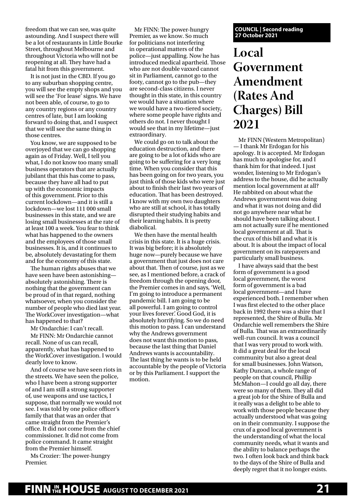<span id="page-20-0"></span>freedom that we can see, was quite astounding. And I suspect there will be a lot of restaurants in Little Bourke Street, throughout Melbourne and throughout Victoria who will not be reopening at all. They have had a fatal hit from this government.

It is not just in the CBD. If you go to any suburban shopping centre, you will see the empty shops and you will see the 'For lease' signs. We have not been able, of course, to go to any country regions or any country centres of late, but I am looking forward to doing that, and I suspect that we will see the same thing in those centres.

You know, we are supposed to be overjoyed that we can go shopping again as of Friday. Well, I tell you what, I do not know too many small business operators that are actually jubilant that this has come to pass, because they have all had to put up with the economic impacts of this government. Prior to this current lockdown—and it is still a lockdown—we lost 111 000 small businesses in this state, and we are losing small businesses at the rate of at least 100 a week. You fear to think what has happened to the owners and the employees of those small businesses. It is, and it continues to be, absolutely devastating for them and for the economy of this state.

The human rights abuses that we have seen have been astonishing absolutely astonishing. There is nothing that the government can be proud of in that regard, nothing whatsoever, when you consider the number of people who died last year. The WorkCover investigation—what has happened to that?

Mr Ondarchie: I can't recall.

Mr FINN: Mr Ondarchie cannot recall. None of us can recall, apparently, what has happened to the WorkCover investigation. I would dearly love to know.

And of course we have seen riots in the streets. We have seen the police, who I have been a strong supporter of and I am still a strong supporter of, use weapons and use tactics, I suppose, that normally we would not see. I was told by one police officer's family that that was an order that came straight from the Premier's office. It did not come from the chief commissioner. It did not come from police command. It came straight from the Premier himself.

Ms Crozier: The power-hungry Premier.

Mr FINN: The power-hungry Premier, as we know. So much for politicians not interfering in operational matters of the police—just appalling. Now he has introduced medical apartheid. Those who are not double vaxxed cannot sit in Parliament, cannot go to the footy, cannot go to the pub—they are second-class citizens. I never thought in this state, in this country we would have a situation where we would have a two-tiered society, where some people have rights and others do not. I never thought I would see that in my lifetime—just extraordinary.

We could go on to talk about the education destruction, and there are going to be a lot of kids who are going to be suffering for a very long time. When you consider that this has been going on for two years, you just think of those kids who were just about to finish their last two years of education. That has been destroyed. I know with my own two daughters who are still at school, it has totally disrupted their studying habits and their learning habits. It is pretty diabolical.

We then have the mental health crisis in this state. It is a huge crisis. It was big before; it is absolutely huge now—purely because we have a government that just does not care about that. Then of course, just as we see, as I mentioned before, a crack of freedom through the opening door, the Premier comes in and says, 'Well, I'm going to introduce a permanent pandemic bill. I am going to be all powerful. I am going to control your lives forever'. Good God, it is absolutely horrifying. So we do need this motion to pass. I can understand why the Andrews government does not want this motion to pass, because the last thing that Daniel Andrews wants is accountability. The last thing he wants is to be held accountable by the people of Victoria or by this Parliament. I support the motion.

#### **COUNCIL | Second reading 27 October 2021**

### **Local Government Amendment (Rates And Charges) Bill 2021**

Mr FINN (Western Metropolitan) — I thank Mr Erdogan for his apology. It is accepted. Mr Erdogan has much to apologise for, and I thank him for that indeed. I just wonder, listening to Mr Erdogan's address to the house, did he actually mention local government at all? He rabbited on about what the Andrews government was doing and what it was not doing and did not go anywhere near what he should have been talking about. I am not actually sure if he mentioned local government at all. That is the crux of this bill and what it is about. It is about the impact of local government on its ratepayers and particularly small business.

I have always said that the best form of government is a good local government, the worst form of government is a bad local government—and I have experienced both. I remember when I was first elected to the other place back in 1992 there was a shire that I represented, the Shire of Bulla. Mr Ondarchie well remembers the Shire of Bulla. That was an extraordinarily well-run council. It was a council that I was very proud to work with. It did a great deal for the local community but also a great deal for small businesses. John Watson, Kathy Duncan, a whole range of people on that council, Phillip McMahon—I could go all day, there were so many of them. They all did a great job for the Shire of Bulla and it really was a delight to be able to work with those people because they actually understood what was going on in their community. I suppose the crux of a good local government is the understanding of what the local community needs, what it wants and the ability to balance perhaps the two. I often look back and think back to the days of the Shire of Bulla and deeply regret that it no longer exists.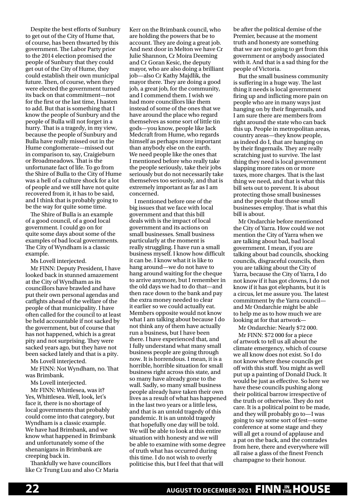Despite the best efforts of Sunbury to get out of the City of Hume that, of course, has been thwarted by this government. The Labor Party prior to the 2014 election promised the people of Sunbury that they could get out of the City of Hume, they could establish their own municipal future. Then, of course, when they were elected the government turned its back on that commitment—not for the first or the last time, I hasten to add. But that is something that I know the people of Sunbury and the people of Bulla will not forget in a hurry. That is a tragedy, in my view, because the people of Sunbury and Bulla have really missed out in the Hume conglomerate—missed out in comparison to, say, Craigieburn or Broadmeadows. That is the unfortunate fact of life. To go from the Shire of Bulla to the City of Hume was a hell of a culture shock for a lot of people and we still have not quite recovered from it, it has to be said, and I think that is probably going to be the way for quite some time.

The Shire of Bulla is an example of a good council, of a good local government. I could go on for quite some days about some of the examples of bad local governments. The City of Wyndham is a classic example.

Ms Lovell interjected.

Mr FINN: Deputy President, I have looked back in stunned amazement at the City of Wyndham as its councillors have brawled and have put their own personal agendas and catfights ahead of the welfare of the people of that municipality. I have often called for the council to at least be held accountable if not sacked by the government, but of course that has not happened, which is a great pity and not surprising. They were sacked years ago, but they have not been sacked lately and that is a pity.

Ms Lovell interjected.

Mr FINN: Not Wyndham, no. That was Brimbank.

Ms Lovell interjected.

Mr FINN: Whittlesea, was it? Yes, Whittlesea. Well, look, let's face it, there is no shortage of local governments that probably could come into that category, but Wyndham is a classic example. We have had Brimbank, and we know what happened in Brimbank and unfortunately some of the shenanigans in Brimbank are creeping back in.

Thankfully we have councillors like Cr Trung Luu and also Cr Maria Kerr on the Brimbank council, who are holding the powers that be to account. They are doing a great job. And next door in Melton we have Cr Julie Shannon, Cr Moira Deeming and Cr Goran Kesic, the deputy mayor, who are also doing a brilliant job—also Cr Kathy Majdlik, the mayor there. They are doing a good job, a great job, for the community, and I commend them. I wish we had more councillors like them instead of some of the ones that we have around the place who regard themselves as some sort of little tin gods—you know, people like Jack Medcraft from Hume, who regards himself as perhaps more important than anybody else on the earth. We need people like the ones that I mentioned before who really take the people seriously, take their jobs seriously but do not necessarily take themselves too seriously, and that is extremely important as far as I am concerned.

I mentioned before one of the big issues that we face with local government and that this bill deals with is the impact of local government and its actions on small businesses. Small business particularly at the moment is really struggling. I have run a small business myself. I know how difficult it can be. I know what it is like to hang around—we do not have to hang around waiting for the cheque to arrive anymore, but I remember in the old days we had to do that—and then race down to the bank and pay the extra money needed to clear it earlier so we could actually eat. Members opposite would not know what I am talking about because I do not think any of them have actually run a business, but I have been there. I have experienced that, and I fully understand what many small business people are going through now. It is horrendous. I mean, it is a horrible, horrible situation for small business right across this state, and so many have already gone to the wall. Sadly, so many small business people already have taken their own lives as a result of what has happened in the last two years or a little less, and that is an untold tragedy of this pandemic. It is an untold tragedy that hopefully one day will be told. We will be able to look at this entire situation with honesty and we will be able to examine with some degree of truth what has occurred during this time. I do not wish to overly politicise this, but I feel that that will

be after the political demise of the Premier, because at the moment truth and honesty are something that we are not going to get from this government or anybody associated with it. And that is a sad thing for the people of Victoria.

But the small business community is suffering in a huge way. The last thing it needs is local government firing up and inflicting more pain on people who are in many ways just hanging on by their fingernails, and I am sure there are members from right around the state who can back this up. People in metropolitan areas, country areas—they know people, as indeed do I, that are hanging on by their fingernails. They are really scratching just to survive. The last thing they need is local government slapping more rates on or more taxes, more charges. That is the last thing we need, and that is what this bill sets out to prevent. It is about protecting those small businesses and the people that those small businesses employ. That is what this bill is about.

Mr Ondarchie before mentioned the City of Yarra. How could we not mention the City of Yarra when we are talking about bad, bad local government. I mean, if you are talking about bad councils, shocking councils, disgraceful councils, then you are talking about the City of Yarra, because the City of Yarra, I do not know if it has got clowns, I do not know if it has got elephants, but it is a circus, let me assure you. The latest commitment by the Yarra council and Mr Ondarchie might be able to help me as to how much we are looking at for that artwork—

Mr Ondarchie: Nearly \$72 000.

Mr FINN: \$72 000 for a piece of artwork to tell us all about the climate emergency, which of course we all know does not exist. So I do not know where these councils get off with this stuff. You might as well put up a painting of Donald Duck. It would be just as effective. So here we have these councils pushing along their political barrow irrespective of the truth or otherwise. They do not care. It is a political point to be made, and they will probably go to—I was going to say some sort of fest—some conference at some stage and they will all get a round of applause and a pat on the back, and the comrades from here, there and everywhere will all raise a glass of the finest French champagne to their honour.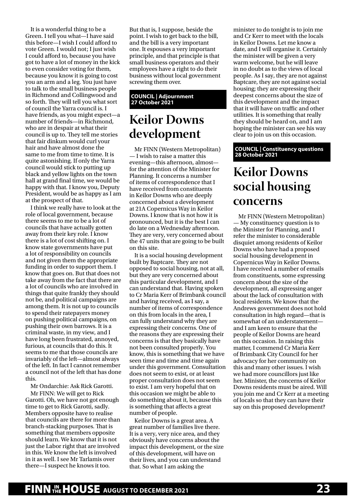<span id="page-22-0"></span>It is a wonderful thing to be a Green. I tell you what—I have said this before—I wish I could afford to vote Green. I would not; I just wish I could afford to, because you have got to have a lot of money in the kick to even consider voting for them, because you know it is going to cost you an arm and a leg. You just have to talk to the small business people in Richmond and Collingwood and so forth. They will tell you what sort of council the Yarra council is. I have friends, as you might expect—a number of friends—in Richmond, who are in despair at what their council is up to. They tell me stories that fair dinkum would curl your hair and have almost done the same to me from time to time. It is quite astonishing. If only the Yarra council would stick to putting up black and yellow lights on the town hall at grand final time, we would be happy with that. I know you, Deputy President, would be as happy as I am at the prospect of that.

I think we really have to look at the role of local government, because there seems to me to be a lot of councils that have actually gotten away from their key role. I know there is a lot of cost shifting on. I know state governments have put a lot of responsibility on councils and not given them the appropriate funding in order to support them. I know that goes on. But that does not take away from the fact that there are a lot of councils who are involved in things that quite frankly they should not be, and political campaigns are among them. It is not up to councils to spend their ratepayers money on pushing political campaigns, on pushing their own barrows. It is a criminal waste, in my view, and I have long been frustrated, annoyed, furious, at councils that do this. It seems to me that those councils are invariably of the left—almost always of the left. In fact I cannot remember a council not of the left that has done this.

Mr Ondarchie: Ask Rick Garotti.

Mr FINN: We will get to Rick Garotti. Oh, we have not got enough time to get to Rick Garotti, sadly. Members opposite have to realise that councils are there for more than branch-stacking purposes. That is something that members opposite should learn. We know that it is not just the Labor right that are involved in this. We know the left is involved in it as well. I see Mr Tarlamis over there—I suspect he knows it too.

But that is, I suppose, beside the point. I wish to get back to the bill, and the bill is a very important one. It espouses a very important principle, and that principle is that small business operators and their employees have a right to do their business without local government screwing them over.

#### **COUNCIL | Adjournment 27 October 2021**

### **Keilor Downs development**

Mr FINN (Western Metropolitan) — I wish to raise a matter this evening—this afternoon, almost for the attention of the Minister for Planning. It concerns a number of items of correspondence that I have received from constituents in Keilor Downs who are deeply concerned about a development at 21A Copernicus Way in Keilor Downs. I know that is not how it is pronounced, but it is the best I can do late on a Wednesday afternoon. They are very, very concerned about the 47 units that are going to be built on this site.

It is a social housing development built by Baptcare. They are not opposed to social housing, not at all, but they are very concerned about this particular development, and I can understand that. Having spoken to Cr Maria Kerr of Brimbank council and having received, as I say, a number of items of correspondence on this from locals in the area, I can fully understand why they are expressing their concerns. One of the reasons they are expressing their concerns is that they basically have not been consulted properly. You know, this is something that we have seen time and time and time again under this government. Consultation does not seem to exist, or at least proper consultation does not seem to exist. I am very hopeful that on this occasion we might be able to do something about it, because this is something that affects a great number of people.

Keilor Downs is a great area. A great number of families live there. It is a very, very nice area, and they obviously have concerns about the impact this development, or the size of this development, will have on their lives, and you can understand that. So what I am asking the

minister to do tonight is to join me and Cr Kerr to meet with the locals in Keilor Downs. Let me know a date, and I will organise it. Certainly the minister will be given a very warm welcome, but he will leave in no doubt as to the views of local people. As I say, they are not against Baptcare, they are not against social housing; they are expressing their deepest concerns about the size of this development and the impact that it will have on traffic and other utilities. It is something that really they should be heard on, and I am hoping the minister can see his way clear to join us on this occasion.

**COUNCIL | Constituency questions 28 October 2021**

### **Keilor Downs social housing concerns**

Mr FINN (Western Metropolitan) — My constituency question is to the Minister for Planning, and I refer the minister to considerable disquiet among residents of Keilor Downs who have had a proposed social housing development in Copernicus Way in Keilor Downs. I have received a number of emails from constituents, some expressing concern about the size of the development, all expressing anger about the lack of consultation with local residents. We know that the Andrews government does not hold consultation in high regard—that is somewhat of an understatement and I am keen to ensure that the people of Keilor Downs are heard on this occasion. In raising this matter, I commend Cr Maria Kerr of Brimbank City Council for her advocacy for her community on this and many other issues. I wish we had more councillors just like her. Minister, the concerns of Keilor Downs residents must be aired. Will you join me and Cr Kerr at a meeting of locals so that they can have their say on this proposed development?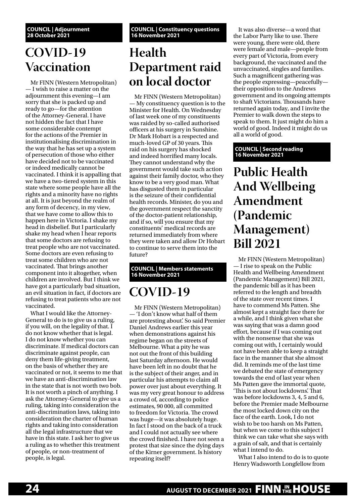#### <span id="page-23-0"></span>**COUNCIL | Adjournment 28 October 2021**

### **COVID-19 Vaccination**

Mr FINN (Western Metropolitan) — I wish to raise a matter on the adjournment this evening—I am sorry that she is packed up and ready to go—for the attention of the Attorney-General. I have not hidden the fact that I have some considerable contempt for the actions of the Premier in institutionalising discrimination in the way that he has set up a system of persecution of those who either have decided not to be vaccinated or indeed medically cannot be vaccinated. I think it is appalling that we have a two-tiered system in this state where some people have all the rights and a minority have no rights at all. It is just beyond the realm of any form of decency, in my view, that we have come to allow this to happen here in Victoria. I shake my head in disbelief. But I particularly shake my head when I hear reports that some doctors are refusing to treat people who are not vaccinated. Some doctors are even refusing to treat some children who are not vaccinated. That brings another component into it altogether, when children are involved. But I think we have got a particularly bad situation, an evil situation in fact, if doctors are refusing to treat patients who are not vaccinated.

What I would like the Attorney-General to do is to give us a ruling, if you will, on the legality of that. I do not know whether that is legal. I do not know whether you can discriminate. If medical doctors can discriminate against people, can deny them life-giving treatment, on the basis of whether they are vaccinated or not, it seems to me that we have an anti-discrimination law in the state that is not worth two bob. It is not worth a pinch of anything. I ask the Attorney-General to give us a ruling, taking into consideration the anti-discrimination laws, taking into consideration the charter of human rights and taking into consideration all the legal infrastructure that we have in this state. I ask her to give us a ruling as to whether this treatment of people, or non-treatment of people, is legal.

**COUNCIL | Constituency questions 16 November 2021**

# **Health Department raid on local doctor**

Mr FINN (Western Metropolitan) — My constituency question is to the Minister for Health. On Wednesday of last week one of my constituents was raided by so-called authorised officers at his surgery in Sunshine. Dr Mark Hobart is a respected and much-loved GP of 30 years. This raid on his surgery has shocked and indeed horrified many locals. They cannot understand why the government would take such action against their family doctor, who they know to be a very good man. What has disgusted them in particular is the seizure of their confidential health records. Minister, do you and the government respect the sanctity of the doctor-patient relationship, and if so, will you ensure that my constituents' medical records are returned immediately from where they were taken and allow Dr Hobart to continue to serve them into the future?

#### **COUNCIL | Members statements 16 November 2021**

### **COVID-19**

Mr FINN (Western Metropolitan) — 'I don't know what half of them are protesting about'. So said Premier Daniel Andrews earlier this year when demonstrations against his regime began on the streets of Melbourne. What a pity he was not out the front of this building last Saturday afternoon. He would have been left in no doubt that he is the subject of their anger, and in particular his attempts to claim all power over just about everything. It was my very great honour to address a crowd of, according to police estimates, 90 000, all committed to freedom for Victoria. The crowd was huge—it was absolutely huge. In fact I stood on the back of a truck and I could not actually see where the crowd finished. I have not seen a protest that size since the dying days of the Kirner government. Is history repeating itself?

It was also diverse—a word that the Labor Party like to use. There were young, there were old, there were female and male—people from every part of Victoria, from every background, the vaccinated and the unvaccinated, singles and families. Such a magnificent gathering was the people expressing—peacefully their opposition to the Andrews government and its ongoing attempts to shaft Victorians. Thousands have returned again today, and I invite the Premier to walk down the steps to speak to them. It just might do him a world of good. Indeed it might do us all a world of good.

#### **COUNCIL | Second reading 16 November 2021**

**Public Health And Wellbeing Amendment (Pandemic Management) Bill 2021**

Mr FINN (Western Metropolitan) — I rise to speak on the Public Health and Wellbeing Amendment (Pandemic Management) Bill 2021, the pandemic bill as it has been referred to the length and breadth of the state over recent times. I have to commend Ms Patten. She almost kept a straight face there for a while, and I think given what she was saying that was a damn good effort, because if I was coming out with the nonsense that she was coming out with, I certainly would not have been able to keep a straight face in the manner that she almost did. It reminds me of the last time we debated the state of emergency towards the end of last year when Ms Patten gave the immortal quote, 'This is not about lockdowns'. That was before lockdowns 3, 4, 5 and 6, before the Premier made Melbourne the most locked down city on the face of the earth. Look, I do not wish to be too harsh on Ms Patten, but when we come to this subject I think we can take what she says with a grain of salt, and that is certainly what I intend to do.

What I also intend to do is to quote Henry Wadsworth Longfellow from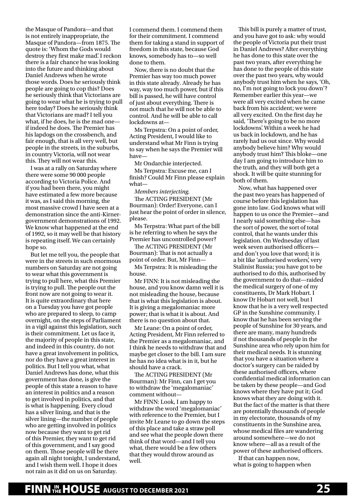the Masque of Pandora—and that is not entirely inappropriate, the Masque of Pandora—from 1875. The quote is: 'Whom the Gods would destroy they first make mad'. I reckon there is a fair chance he was looking into the future and thinking about Daniel Andrews when he wrote those words. Does he seriously think people are going to cop this? Does he seriously think that Victorians are going to wear what he is trying to pull here today? Does he seriously think that Victorians are mad? I tell you what, if he does, he is the mad one if indeed he does. The Premier has his lapdogs on the crossbench, and fair enough, that is all very well, but people in the streets, in the suburbs, in country Victoria, will not wear this. They will not wear this.

I was at a rally on Saturday where there were some 90 000 people according to Victoria Police. And if you had been there, you might have estimated a few more because it was, as I said this morning, the most massive crowd I have seen at a demonstration since the anti-Kirnergovernment demonstrations of 1992. We know what happened at the end of 1992, so it may well be that history is repeating itself. We can certainly hope so.

But let me tell you, the people that were in the streets in such enormous numbers on Saturday are not going to wear what this government is trying to pull here, what this Premier is trying to pull. The people out the front now are not going to wear it. It is quite extraordinary that here on a Tuesday you have got people who are prepared to sleep, to camp overnight, on the steps of Parliament in a vigil against this legislation, such is their commitment. Let us face it, the majority of people in this state, and indeed in this country, do not have a great involvement in politics, nor do they have a great interest in politics. But I tell you what, what Daniel Andrews has done, what this government has done, is give the people of this state a reason to have an interest in politics and a reason to get involved in politics, and that is what is happening. Every cloud has a silver lining, and that is the silver lining—the number of people who are getting involved in politics now because they want to get rid of this Premier, they want to get rid of this government, and I say good on them. Those people will be there again all night tonight, I understand, and I wish them well. I hope it does not rain as it did on us on Saturday.

I commend them. I commend them for their commitment. I commend them for taking a stand in support of freedom in this state, because God knows, somebody has to—so well done to them.

Now, there is no doubt that the Premier has way too much power in this state already. Already he has way, way too much power, but if this bill is passed, he will have control of just about everything. There is not much that he will not be able to control. And he will be able to call lockdowns at—

Ms Terpstra: On a point of order, Acting President, I would like to understand what Mr Finn is trying to say when he says the Premier will have—

Mr Ondarchie interjected. Ms Terpstra: Excuse me, can I finish? Could Mr Finn please explain what—

*Members interjecting.* The ACTING PRESIDENT (Mr Bourman): Order! Everyone, can I just hear the point of order in silence, please.

Ms Terpstra: What part of the bill is he referring to when he says the Premier has uncontrolled power?

The ACTING PRESIDENT (Mr Bourman): That is not actually a point of order. But, Mr Finn—

Ms Terpstra: It is misleading the house.

Mr FINN: It is not misleading the house, and you know damn well it is not misleading the house, because that is what this legislation is about. It is giving a megalomaniac more power; that is what it is about. And there is no question about that.

Mr Leane: On a point of order, Acting President, Mr Finn referred to the Premier as a megalomaniac, and I think he needs to withdraw that and maybe get closer to the bill. I am sure he has no idea what is in it, but he should have a crack.

The ACTING PRESIDENT (Mr Bourman): Mr Finn, can I get you to withdraw the 'megalomaniac' comment without—

Mr FINN: Look, I am happy to withdraw the word 'megalomaniac' with reference to the Premier, but I invite Mr Leane to go down the steps of this place and take a straw poll and see what the people down there think of that word—and I tell you what, there would be a few others that they would throw around as well.

This bill is purely a matter of trust, and you have got to ask: why would the people of Victoria put their trust in Daniel Andrews? After everything he has done to this state over the past two years, after everything he has done to the people of this state over the past two years, why would anybody trust him when he says, 'Oh, no, I'm not going to lock you down'? Remember earlier this year—we were all very excited when he came back from his accident; we were all very excited. On the first day he said, 'There's going to be no more lockdowns'. Within a week he had us back in lockdown, and he has rarely had us out since. Why would anybody believe him? Why would anybody trust him? This bloke—one day I am going to introduce him to the truth, and they will both get a shock. It will be quite stunning for both of them.

Now, what has happened over the past two years has happened of course before this legislation has gone into law. God knows what will happen to us once the Premier—and I nearly said something else—has the sort of power, the sort of total control, that he wants under this legislation. On Wednesday of last week seven authorised officers and don't you love that word; it is a bit like 'authorised workers', very Stalinist Russia; you have got to be authorised to do this, authorised by the government to do that—raided the medical surgery of one of my constituents, Dr Mark Hobart. I know Dr Hobart not well, but I know that he is a very well respected GP in the Sunshine community. I know that he has been serving the people of Sunshine for 30 years, and there are many, many hundreds if not thousands of people in the Sunshine area who rely upon him for their medical needs. It is stunning that you have a situation where a doctor's surgery can be raided by these authorised officers, where confidential medical information can be taken by these people—and God knows where they have put it; God knows what they are doing with it. But the fact of the matter is that there are potentially thousands of people in my electorate, thousands of my constituents in the Sunshine area, whose medical files are wandering around somewhere—we do not know where—all as a result of the power of these authorised officers.

If that can happen now, what is going to happen when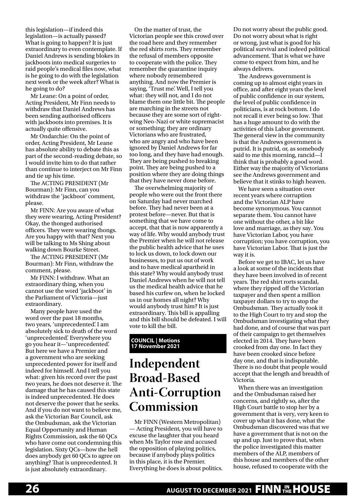<span id="page-25-0"></span>this legislation—if indeed this legislation—is actually passed? What is going to happen? It is just extraordinary to even contemplate. If Daniel Andrews is sending blokes in jackboots into medical surgeries to raid people's medical files now, what is he going to do with the legislation next week or the week after? What is he going to do?

Mr Leane: On a point of order, Acting President, Mr Finn needs to withdraw that Daniel Andrews has been sending authorised officers with jackboots into premises. It is actually quite offensive.

Mr Ondarchie: On the point of order, Acting President, Mr Leane has absolute ability to debate this as part of the second-reading debate, so I would invite him to do that rather than continue to interject on Mr Finn and tie up his time.

The ACTING PRESIDENT (Mr Bourman): Mr Finn, can you withdraw the 'jackboot' comment, please.

Mr FINN: Are you aware of what they were wearing, Acting President? Okay, the thonged authorised officers. They were wearing thongs. Are you happy with that? Next you will be talking to Ms Shing about walking down Bourke Street.

The ACTING PRESIDENT (Mr Bourman): Mr Finn, withdraw the comment, please.

Mr FINN: I withdraw. What an extraordinary thing, when you cannot use the word 'jackboot' in the Parliament of Victoria—just extraordinary.

Many people have used the word over the past 18 months, two years, 'unprecedented'. I am absolutely sick to death of the word 'unprecedented'. Everywhere you go you hear it—'unprecedented'. But here we have a Premier and a government who are seeking unprecedented power for itself and indeed for himself. And I tell you what: given his record over the past two years, he does not deserve it. The damage that he has caused this state is indeed unprecedented. He does not deserve the power that he seeks. And if you do not want to believe me, ask the Victorian Bar Council, ask the Ombudsman, ask the Victorian Equal Opportunity and Human Rights Commission, ask the 60 QCs who have come out condemning this legislation. Sixty QCs—how the hell does anybody get 60 QCs to agree on anything? That is unprecedented. It is just absolutely extraordinary.

On the matter of trust, the Victorian people see this crowd over the road here and they remember the red shirts rorts. They remember the refusal of members opposite to cooperate with the police. They remember the quarantine inquiry where nobody remembered anything. And now the Premier is saying, 'Trust me'. Well, I tell you what: they will not, and I do not blame them one little bit. The people are marching in the streets not because they are some sort of rightwing Neo-Nazi or white supremacist or something; they are ordinary Victorians who are frustrated, who are angry and who have been ignored by Daniel Andrews for far too long, and they have had enough. They are being pushed to breaking point. They are being pushed to a position where they are doing things that they have never done before.

The overwhelming majority of people who were out the front there on Saturday had never marched before. They had never been at a protest before—never. But that is something that we have come to accept, that that is now apparently a way of life. Why would anybody trust the Premier when he will not release the public health advice that he uses to lock us down, to lock down our businesses, to put us out of work and to have medical apartheid in this state? Why would anybody trust Daniel Andrews when he will not tell us the medical health advice that he based his curfew on, when he locked us in our homes all night? Why would anybody trust him? It is just extraordinary. This bill is appalling and this bill should be defeated. I will vote to kill the bill.

#### **COUNCIL | Motions 17 November 2021**

### **Independent Broad-Based Anti-Corruption Commission**

Mr FINN (Western Metropolitan) — Acting President, you will have to excuse the laughter that you heard when Ms Taylor rose and accused the opposition of playing politics, because if anybody plays politics in this place, it is the Premier. Everything he does is about politics. Do not worry about the public good. Do not worry about what is right or wrong, just what is good for his political survival and indeed political advancement. That is what we have come to expect from him, and he always delivers.

The Andrews government is coming up to almost eight years in office, and after eight years the level of public confidence in our system, the level of public confidence in politicians, is at rock bottom. I do not recall it ever being so low. That has a huge amount to do with the activities of this Labor government. The general view in the community is that the Andrews government is putrid. It is putrid, or, as somebody said to me this morning, rancid—I think that is probably a good word. Either way the majority of Victorians see the Andrews government and believe that it stinks to high heaven.

We have seen a situation over recent years where corruption and the Victorian ALP have become synonymous. You cannot separate them. You cannot have one without the other, a bit like love and marriage, as they say. You have Victorian Labor, you have corruption; you have corruption, you have Victorian Labor. That is just the way it is.

Before we get to IBAC, let us have a look at some of the incidents that they have been involved in of recent years. The red shirt rorts scandal, where they ripped off the Victorian taxpayer and then spent a million taxpayer dollars to try to stop the Ombudsman. They actually took it to the High Court to try and stop the Ombudsman investigating what they had done, and of course that was part of their campaign to get themselves elected in 2014. They have been crooked from day one. In fact they have been crooked since before day one, and that is indisputable. There is no doubt that people would accept that the length and breadth of Victoria.

When there was an investigation and the Ombudsman raised her concerns, and rightly so, after the High Court battle to stop her by a government that is very, very keen to cover up what it has done, what the Ombudsman discovered was that we have a government that is not on the up and up. Just to prove that, when the police investigated this matter members of the ALP, members of this house and members of the other house, refused to cooperate with the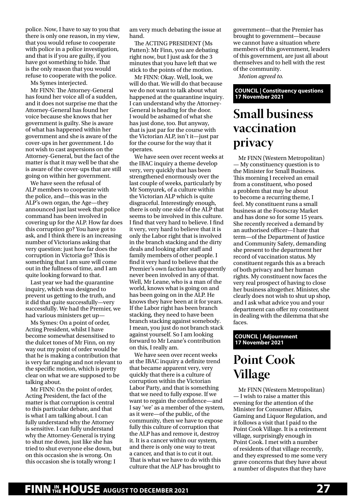<span id="page-26-0"></span>police. Now, I have to say to you that there is only one reason, in my view, that you would refuse to cooperate with police in a police investigation, and that is if you are guilty, if you have got something to hide. That is the only reason that you would refuse to cooperate with the police.

Ms Symes interjected.

Mr FINN: The Attorney-General has found her voice all of a sudden, and it does not surprise me that the Attorney-General has found her voice because she knows that her government is guilty. She is aware of what has happened within her government and she is aware of the cover-ups in her government. I do not wish to cast aspersions on the Attorney-General, but the fact of the matter is that it may well be that she is aware of the cover-ups that are still going on within her government.

We have seen the refusal of ALP members to cooperate with the police, and—this was in the ALP's own organ, the Age—they announced just last week that police command has been involved in covering up for the ALP. How far does this corruption go? You have got to ask, and I think there is an increasing number of Victorians asking that very question: just how far does the corruption in Victoria go? This is something that I am sure will come out in the fullness of time, and I am quite looking forward to that.

Last year we had the quarantine inquiry, which was designed to prevent us getting to the truth, and it did that quite successfully—very successfully. We had the Premier, we had various ministers get up—

Ms Symes: On a point of order, Acting President, whilst I have become somewhat desensitised to the dulcet tones of Mr Finn, on my way out my point of order would be that he is making a contribution that is very far ranging and not relevant to the specific motion, which is pretty clear on what we are supposed to be talking about.

Mr FINN: On the point of order, Acting President, the fact of the matter is that corruption is central to this particular debate, and that is what I am talking about. I can fully understand why the Attorney is sensitive. I can fully understand why the Attorney-General is trying to shut me down, just like she has tried to shut everyone else down, but on this occasion she is wrong. On this occasion she is totally wrong: I

am very much debating the issue at hand.

The ACTING PRESIDENT (Ms Patten): Mr Finn, you are debating right now, but I just ask for the 3 minutes that you have left that we stick to the points of the motion.

Mr FINN: Okay. Well, look, we will do that. We will do that because we do not want to talk about what happened at the quarantine inquiry. I can understand why the Attorney-General is heading for the door. I would be ashamed of what she has just done, too. But anyway, that is just par for the course with the Victorian ALP, isn't it—just par for the course for the way that it operates.

We have seen over recent weeks at the IBAC inquiry a theme develop very, very quickly that has been strengthened enormously over the last couple of weeks, particularly by Mr Somyurek, of a culture within the Victorian ALP which is quite disgraceful. Interestingly enough, there is only one side of the ALP that seems to be involved in this culture. I find that very hard to believe. I find it very, very hard to believe that it is only the Labor right that is involved in the branch stacking and the dirty deals and looking after staff and family members of other people. I find it very hard to believe that the Premier's own faction has apparently never been involved in any of that. Well, Mr Leane, who is a man of the world, knows what is going on and has been going on in the ALP. He knows they have been at it for years. If the Labor right has been branch stacking, they need to have been branch stacking against somebody. I mean, you just do not branch stack against yourself. So I am looking forward to Mr Leane's contribution on this, I really am.

We have seen over recent weeks at the IBAC inquiry a definite trend that became apparent very, very quickly that there is a culture of corruption within the Victorian Labor Party, and that is something that we need to fully expose. If we want to regain the confidence—and I say 'we' as a member of the system, as it were—of the public, of the community, then we have to expose fully this culture of corruption that the ALP has and remove it, destroy it. It is a cancer within our system, and there is only one way to treat a cancer, and that is to cut it out. That is what we have to do with this culture that the ALP has brought to

government—that the Premier has brought to government—because we cannot have a situation where members of this government, leaders of this government, are just all about themselves and to hell with the rest of the community.

*Motion agreed to.*

**COUNCIL | Constituency questions 17 November 2021**

### **Small business vaccination privacy**

Mr FINN (Western Metropolitan) — My constituency question is to the Minister for Small Business. This morning I received an email from a constituent, who posed a problem that may be about to become a recurring theme, I feel. My constituent runs a small business at the Footscray Market and has done so for some 15 years. She recently received a demand by an authorised officer—I hate that term—of the Department of Justice and Community Safety, demanding she present to the department her record of vaccination status. My constituent regards this as a breach of both privacy and her human rights. My constituent now faces the very real prospect of having to close her business altogether. Minister, she clearly does not wish to shut up shop, and I ask what advice you and your department can offer my constituent in dealing with the dilemma that she faces.

#### **COUNCIL | Adjournment 17 November 2021**

### **Point Cook Village**

Mr FINN (Western Metropolitan) — I wish to raise a matter this evening for the attention of the Minister for Consumer Affairs, Gaming and Liquor Regulation, and it follows a visit that I paid to the Point Cook Village. It is a retirement village, surprisingly enough in Point Cook. I met with a number of residents of that village recently, and they expressed to me some very grave concerns that they have about a number of disputes that they have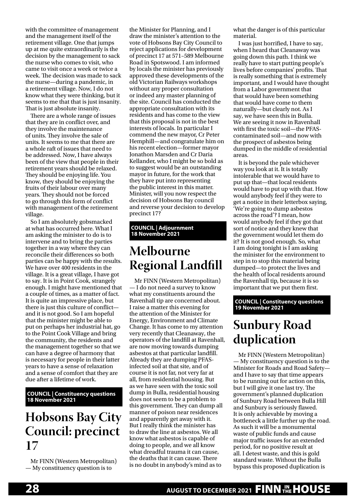<span id="page-27-0"></span>with the committee of management and the management itself of the retirement village. One that jumps up at me quite extraordinarily is the decision by the management to sack the nurse who comes to visit, who came to visit once a week or twice a week. The decision was made to sack the nurse—during a pandemic, in a retirement village. Now, I do not know what they were thinking, but it seems to me that that is just insanity. That is just absolute insanity.

There are a whole range of issues that they are in conflict over, and they involve the maintenance of units. They involve the sale of units. It seems to me that there are a whole raft of issues that need to be addressed. Now, I have always been of the view that people in their retirement years should be relaxed. They should be enjoying life. You know, they should be enjoying the fruits of their labour over many years. They should not be forced to go through this form of conflict with management of the retirement village.

So I am absolutely gobsmacked at what has occurred here. What I am asking the minister to do is to intervene and to bring the parties together in a way where they can reconcile their differences so both parties can be happy with the results. We have over 400 residents in the village. It is a great village, I have got to say. It is in Point Cook, strangely enough. I might have mentioned that a couple of times, as a matter of fact. It is quite an impressive place, but there is just this culture of conflict and it is not good. So I am hopeful that the minister might be able to put on perhaps her industrial hat, go to the Point Cook Village and bring the community, the residents and the management together so that we can have a degree of harmony that is necessary for people in their latter years to have a sense of relaxation and a sense of comfort that they are due after a lifetime of work.

**COUNCIL | Constituency questions 18 November 2021**

### **Hobsons Bay City Council: precinct 17**

Mr FINN (Western Metropolitan) — My constituency question is to

the Minister for Planning, and I draw the minister's attention to the vote of Hobsons Bay City Council to reject applications for development of precinct 17 at 571–589 Melbourne Road in Spotswood. I am informed by locals the minister has previously approved these developments of the old Victorian Railways workshops without any proper consultation or indeed any master planning of the site. Council has conducted the appropriate consultation with its residents and has come to the view that this proposal is not in the best interests of locals. In particular I commend the new mayor, Cr Peter Hemphill—and congratulate him on his recent election—former mayor Jonathon Marsden and Cr Daria Kellander, who I might be so bold as to suggest would be an outstanding mayor in future, for the work that they have put into representing the public interest in this matter. Minister, will you now respect the decision of Hobsons Bay council and reverse your decision to develop precinct 17?

**COUNCIL | Adjournment 18 November 2021**

### **Melbourne Regional Landfill**

Mr FINN (Western Metropolitan) — I do not need a survey to know what my constituents around the Ravenhall tip are concerned about. I raise a matter this evening for the attention of the Minister for Energy, Environment and Climate Change. It has come to my attention very recently that Cleanaway, the operators of the landfill at Ravenhall, are now moving towards dumping asbestos at that particular landfill. Already they are dumping PFASinfected soil at that site, and of course it is not far, not very far at all, from residential housing. But as we have seen with the toxic soil dump in Bulla, residential housing does not seem to be a problem to this government. They can dump all manner of poison near residences and apparently get away with it. But I really think the minister has to draw the line at asbestos. We all know what asbestos is capable of doing to people, and we all know what dreadful trauma it can cause, the deaths that it can cause. There is no doubt in anybody's mind as to

what the danger is of this particular material.

I was just horrified, I have to say, when I heard that Cleanaway was going down this path. I think we really have to start putting people's lives before companies' profits. That is really something that is extremely important, and I would have thought from a Labor government that that would have been something that would have come to them naturally—but clearly not. As I say, we have seen this in Bulla. We are seeing it now in Ravenhall with first the toxic soil—the PFAScontaminated soil—and now with the prospect of asbestos being dumped in the middle of residential areas.

It is beyond the pale whichever way you look at it. It is totally intolerable that we would have to put up that—that local residents would have to put up with that. How would anybody feel if they were to get a notice in their letterbox saying, 'We're going to dump asbestos across the road'? I mean, how would anybody feel if they got that sort of notice and they knew that the government would let them do it? It is not good enough. So, what I am doing tonight is I am asking the minister for the environment to step in to stop this material being dumped—to protect the lives and the health of local residents around the Ravenhall tip, because it is so important that we put them first.

**COUNCIL | Constituency questions 19 November 2021**

### **Sunbury Road duplication**

Mr FINN (Western Metropolitan) — My constituency question is to the Minister for Roads and Road Safety and I have to say that time appears to be running out for action on this, but I will give it one last try. The government's planned duplication of Sunbury Road between Bulla Hill and Sunbury is seriously flawed. It is only achievable by moving a bottleneck a little further up the road. As such it will be a monumental waste of public funds and cause major traffic issues for an extended period, for no positive result at all. I detest waste, and this is gold standard waste. Without the Bulla bypass this proposed duplication is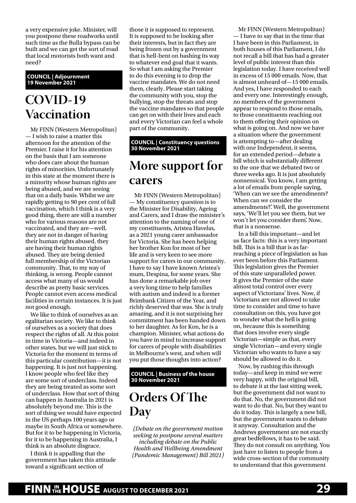<span id="page-28-0"></span>a very expensive joke. Minister, will you postpone these roadworks until such time as the Bulla bypass can be built and we can get the sort of road that local motorists both want and need?

#### **COUNCIL | Adjournment 19 November 2021**

### **COVID-19 Vaccination**

Mr FINN (Western Metropolitan) — I wish to raise a matter this afternoon for the attention of the Premier. I raise it for his attention on the basis that I am someone who does care about the human rights of minorities. Unfortunately in this state at the moment there is a minority whose human rights are being abused, and we are seeing that on a daily basis. Whilst we are rapidly getting to 90 per cent of full vaccination, which I think is a very good thing, there are still a number who for various reasons are not vaccinated, and they are—well, they are not in danger of having their human rights abused, they are having their human rights abused. They are being denied full membership of the Victorian community. That, to my way of thinking, is wrong. People cannot access what many of us would describe as pretty basic services. People cannot even access medical facilities in certain instances. It is just not good enough.

We like to think of ourselves as an egalitarian society. We like to think of ourselves as a society that does respect the rights of all. At this point in time in Victoria—and indeed in other states, but we will just stick to Victoria for the moment in terms of this particular contribution—it is not happening. It is just not happening. I know people who feel like they are some sort of underclass. Indeed they are being treated as some sort of underclass. How that sort of thing can happen in Australia in 2021 is absolutely beyond me. This is the sort of thing we would have expected in the US perhaps 100 years ago or maybe in South Africa or somewhere. But for it to be happening in Victoria, for it to be happening in Australia, I think is an absolute disgrace.

I think it is appalling that the government has taken this attitude toward a significant section of

those it is supposed to represent. It is supposed to be looking after their interests, but in fact they are being frozen out by a government that is hell-bent on bashing its way to whatever end goal that it wants. So what I am asking the Premier to do this evening is to drop the vaccine mandates. We do not need them, clearly. Please start taking the community with you, stop the bullying, stop the threats and stop the vaccine mandates so that people can get on with their lives and each and every Victorian can feel a whole part of the community.

**COUNCIL | Constituency questions 30 November 2021**

### **More support for carers**

Mr FINN (Western Metropolitan) — My constituency question is to the Minister for Disability, Ageing and Carers, and I draw the minister's attention to the naming of one of my constituents, Aristea Havelas, as a 2021 young carer ambassador for Victoria. She has been helping her brother Kon for most of her life and is very keen to see more support for carers in our community. I have to say I have known Aristea's mum, Despina, for some years. She has done a remarkable job over a very long time to help families with autism and indeed is a former Brimbank Citizen of the Year, and richly deserved that was. She is truly amazing, and it is not surprising her commitment has been handed down to her daughter. As for Kon, he is a champion. Minister, what actions do you have in mind to increase support for carers of people with disabilities in Melbourne's west, and when will you put those thoughts into action?

#### **COUNCIL | Business of the house 30 November 2021**

# **Orders Of The Day**

*(Debate on the government motion seeking to postpone several matters including debate on the Public Health and Wellbeing Amendment (Pandemic Management) Bill 2021)*

Mr FINN (Western Metropolitan) — I have to say that in the time that I have been in this Parliament, in both houses of this Parliament, I do not recall a bill that has had a greater level of public interest than this legislation today. I have received well in excess of 15 000 emails. Now, that is almost unheard of—15 000 emails. And yes, I have responded to each and every one. Interestingly enough, no members of the government appear to respond to those emails, to those constituents reaching out to them offering their opinion on what is going on. And now we have a situation where the government is attempting to—after dealing with one Independent, it seems, for an extended period—debate a bill which is substantially different to the one that we debated two or three weeks ago. It is just absolutely nonsensical. You know, I am getting a lot of emails from people saying, 'When can we see the amendments? When can we consider the amendments?'. Well, the government says, 'We'll let you see them, but we won't let you consider them'. Now, that is a nonsense.

In a bill this important—and let us face facts: this is a very important bill. This is a bill that is as farreaching a piece of legislation as has ever been before this Parliament. This legislation gives the Premier of this state unparalleled power. It gives the Premier of the state almost total control over every aspect of Victorians' lives. Now, if Victorians are not allowed to take time to consider and time to have consultation on this, you have got to wonder what the hell is going on, because this is something that does involve every single Victorian—simple as that, every single Victorian—and every single Victorian who wants to have a say should be allowed to do it.

Now, by rushing this through today—and keep in mind we were very happy, with the original bill, to debate it at the last sitting week, but the government did not want to do that. No, the government did not want to do that. No, but they want to do it today. This is largely a new bill, but the government wants to debate it anyway. Consultation and the Andrews government are not exactly great bedfellows, it has to be said. They do not consult on anything. You just have to listen to people from a wide cross-section of the community to understand that this government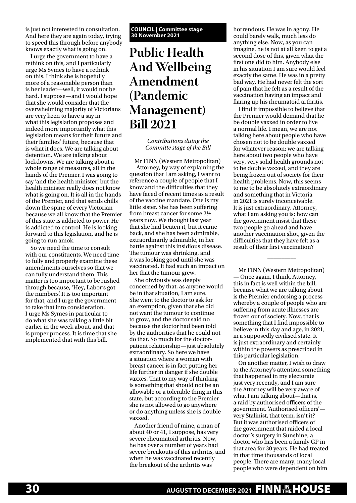<span id="page-29-0"></span>is just not interested in consultation. And here they are again today, trying to speed this through before anybody knows exactly what is going on.

I urge the government to have a rethink on this, and I particularly urge Ms Symes to have a rethink on this. I think she is hopefully more of a reasonable person than is her leader—well, it would not be hard, I suppose—and I would hope that she would consider that the overwhelming majority of Victorians are very keen to have a say in what this legislation proposes and indeed more importantly what this legislation means for their future and their families' future, because that is what it does. We are talking about detention. We are talking about lockdowns. We are talking about a whole range of measures, all in the hands of the Premier. I was going to say 'and the health minister', but the health minister really does not know what is going on. It is all in the hands of the Premier, and that sends chills down the spine of every Victorian because we all know that the Premier of this state is addicted to power. He is addicted to control. He is looking forward to this legislation, and he is going to run amok.

So we need the time to consult with our constituents. We need time to fully and properly examine these amendments ourselves so that we can fully understand them. This matter is too important to be rushed through because, 'Hey, Labor's got the numbers'. It is too important for that, and I urge the government to take that into consideration. I urge Ms Symes in particular to do what she was talking a little bit earlier in the week about, and that is proper process. It is time that she implemented that with this bill.

**COUNCIL | Committee stage 30 November 2021**

### **Public Health And Wellbeing Amendment (Pandemic Management) Bill 2021**

*Contributions duing the Committe stage of the Bill*

Mr FINN (Western Metropolitan) — Attorney, by way of explaining the question that I am asking, I want to reference a couple of people that I know and the difficulties that they have faced of recent times as a result of the vaccine mandate. One is my little sister. She has been suffering from breast cancer for some 2½ years now. We thought last year that she had beaten it, but it came back, and she has been admirable, extraordinarily admirable, in her battle against this insidious disease. The tumour was shrinking, and it was looking good until she was vaccinated. It had such an impact on her that the tumour grew.

She obviously was deeply concerned by that, as anyone would be in that situation, I am sure. She went to the doctor to ask for an exemption, given that she did not want the tumour to continue to grow, and the doctor said no because the doctor had been told by the authorities that he could not do that. So much for the doctorpatient relationship—just absolutely extraordinary. So here we have a situation where a woman with breast cancer is in fact putting her life further in danger if she double vaxxes. That to my way of thinking is something that should not be an allowable or a tolerable thing in this state, but according to the Premier she is not allowed to go anywhere or do anything unless she is double vaxxed.

Another friend of mine, a man of about 40 or 41, I suppose, has very severe rheumatoid arthritis. Now, he has over a number of years had severe breakouts of this arthritis, and when he was vaccinated recently the breakout of the arthritis was

horrendous. He was in agony. He could barely walk, much less do anything else. Now, as you can imagine, he is not at all keen to get a second dose of this, given what the first one did to him. Anybody else in his situation I am sure would feel exactly the same. He was in a pretty bad way. He had never felt the sort of pain that he felt as a result of the vaccination having an impact and flaring up his rheumatoid arthritis.

I find it impossible to believe that the Premier would demand that he be double vaxxed in order to live a normal life. I mean, we are not talking here about people who have chosen not to be double vaxxed for whatever reason; we are talking here about two people who have very, very solid health grounds not to be double vaxxed, and they are being frozen out of society for their health problems. Now, this seems to me to be absolutely extraordinary and something that in Victoria in 2021 is surely inconceivable. It is just extraordinary. Attorney, what I am asking you is: how can the government insist that these two people go ahead and have another vaccination shot, given the difficulties that they have felt as a result of their first vaccination?

Mr FINN (Western Metropolitan) — Once again, I think, Attorney, this in fact is well within the bill, because what we are talking about is the Premier endorsing a process whereby a couple of people who are suffering from acute illnesses are frozen out of society. Now, that is something that I find impossible to believe in this day and age, in 2021, in a supposedly civilised state. It is just extraordinary and certainly within the powers as prescribed in this particular legislation.

 $\overline{\phantom{a}}$ 

On another matter, I wish to draw to the Attorney's attention something that happened in my electorate just very recently, and I am sure the Attorney will be very aware of what I am talking about—that is, a raid by authorised officers of the government. 'Authorised officers' very Stalinist, that term, isn't it? But it was authorised officers of the government that raided a local doctor's surgery in Sunshine, a doctor who has been a family GP in that area for 30 years. He had treated in that time thousands of local people. There are many, many local people who were dependent on him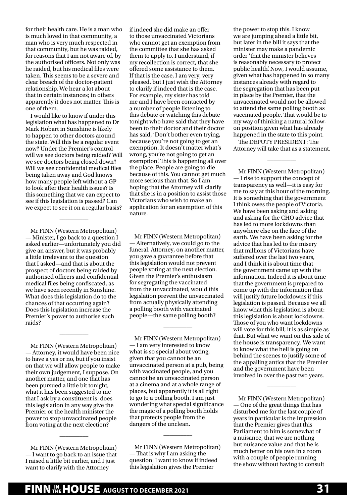for their health care. He is a man who is much loved in that community, a man who is very much respected in that community, but he was raided, for reasons that I am not aware of, by the authorised officers. Not only was he raided, but his medical files were taken. This seems to be a severe and clear breach of the doctor-patient relationship. We hear a lot about that in certain instances; in others apparently it does not matter. This is one of them.

I would like to know if under this legislation what has happened to Dr Mark Hobart in Sunshine is likely to happen to other doctors around the state. Will this be a regular event now? Under the Premier's control will we see doctors being raided? Will we see doctors being closed down? Will we see confidential medical files being taken away and God knows how many people left without a GP to look after their health issues? Is this something that we can expect to see if this legislation is passed? Can we expect to see it on a regular basis?

 $\overline{\phantom{a}}$ 

Mr FINN (Western Metropolitan) — Minister, I go back to a question I asked earlier—unfortunately you did give an answer, but it was probably a little irrelevant to the question that I asked—and that is about the prospect of doctors being raided by authorised officers and confidential medical files being confiscated, as we have seen recently in Sunshine. What does this legislation do to the chances of that occurring again? Does this legislation increase the Premier's power to authorise such raids?

Mr FINN (Western Metropolitan) — Attorney, it would have been nice to have a yes or no, but if you insist on that we will allow people to make their own judgement, I suppose. On another matter, and one that has been pursued a little bit tonight, what it has been suggested to me that I ask by a constituent is: does this legislation in any way give the Premier or the health minister the power to stop unvaccinated people from voting at the next election?

 $\overline{\phantom{a}}$ 

Mr FINN (Western Metropolitan) — I want to go back to an issue that I raised a little bit earlier, and I just want to clarify with the Attorney

 $\overline{\phantom{a}}$  , where the contract of  $\overline{\phantom{a}}$ 

if indeed she did make an offer to those unvaccinated Victorians who cannot get an exemption from the committee that she has asked them to apply to. I understand, if my recollection is correct, that she offered some assistance to them. If that is the case, I am very, very pleased, but I just wish the Attorney to clarify if indeed that is the case. For example, my sister has told me and I have been contacted by a number of people listening to this debate or watching this debate tonight who have said that they have been to their doctor and their doctor has said, 'Don't bother even trying, because you're not going to get an exemption. It doesn't matter what's wrong, you're not going to get an exemption'. This is happening all over the place. People are going to die because of this. You cannot get much more serious than that. So I am hoping that the Attorney will clarify that she is in a position to assist those Victorians who wish to make an application for an exemption of this nature.

Mr FINN (Western Metropolitan) — Alternatively, we could go to the funeral. Attorney, on another matter, you gave a guarantee before that this legislation would not prevent people voting at the next election. Given the Premier's enthusiasm for segregating the vaccinated from the unvaccinated, would this legislation prevent the unvaccinated from actually physically attending a polling booth with vaccinated people—the same polling booth?

 $\overline{\phantom{a}}$ 

 $\overline{\phantom{a}}$ 

Mr FINN (Western Metropolitan) — I am very interested to know what is so special about voting, given that you cannot be an unvaccinated person at a pub, being with vaccinated people, and you cannot be an unvaccinated person at a cinema and at a whole range of places, but apparently it is all right to go to a polling booth. I am just wondering what special significance the magic of a polling booth holds that protects people from the dangers of the unclean.

Mr FINN (Western Metropolitan) — That is why I am asking the question: I want to know if indeed this legislation gives the Premier

 $\overline{\phantom{a}}$ 

the power to stop this. I know we are jumping ahead a little bit, but later in the bill it says that the minister may make a pandemic order 'that the minister believes is reasonably necessary to protect public health'. Now, I would assume, given what has happened in so many instances already with regard to the segregation that has been put in place by the Premier, that the unvaccinated would not be allowed to attend the same polling booth as vaccinated people. That would be to my way of thinking a natural followon position given what has already happened in the state to this point.

The DEPUTY PRESIDENT: The Attorney will take that as a statement.

 $\overline{\phantom{a}}$ 

Mr FINN (Western Metropolitan) — I rise to support the concept of transparency as well—it is easy for me to say at this hour of the morning. It is something that the government I think owes the people of Victoria. We have been asking and asking and asking for the CHO advice that has led to more lockdowns than anywhere else on the face of the earth. We have been asking for the advice that has led to the misery that millions of Victorians have suffered over the last two years, and I think it is about time that the government came up with the information. Indeed it is about time that the government is prepared to come up with the information that will justify future lockdowns if this legislation is passed. Because we all know what this legislation is about: this legislation is about lockdowns. Those of you who want lockdowns will vote for this bill; it is as simple as that. But what we want on this side of the house is transparency. We want to know what the hell is going on behind the scenes to justify some of the appalling antics that the Premier and the government have been involved in over the past two years.

Mr FINN (Western Metropolitan) — One of the great things that has disturbed me for the last couple of years in particular is the impression that the Premier gives that this Parliament to him is somewhat of a nuisance, that we are nothing but nuisance value and that he is much better on his own in a room with a couple of people running the show without having to consult

 $\overline{\phantom{a}}$  , where  $\overline{\phantom{a}}$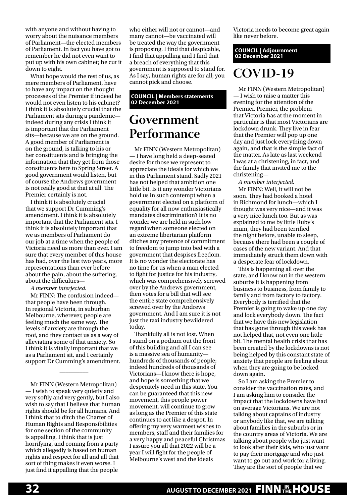<span id="page-31-0"></span>with anyone and without having to worry about the nuisance members of Parliament—the elected members of Parliament. In fact you have got to remember he did not even want to put up with his own cabinet; he cut it down to eight.

What hope would the rest of us, as mere members of Parliament, have to have any impact on the thought processes of the Premier if indeed he would not even listen to his cabinet? I think it is absolutely crucial that the Parliament sits during a pandemic indeed during any crisis I think it is important that the Parliament sits—because we are on the ground. A good member of Parliament is on the ground, is talking to his or her constituents and is bringing the information that they get from those constituents here to Spring Street. A good government would listen, but of course the Andrews government is not really good at that at all. The Premier certainly is not.

I think it is absolutely crucial that we support Dr Cumming's amendment. I think it is absolutely important that the Parliament sits. I think it is absolutely important that we as members of Parliament do our job at a time when the people of Victoria need us more than ever. I am sure that every member of this house has had, over the last two years, more representations than ever before about the pain, about the suffering, about the difficulties—

*A member interjected.*

Mr FINN: The confusion indeed that people have been through. In regional Victoria, in suburban Melbourne, wherever, people are feeling much the same way. The levels of anxiety are through the roof, and they contact us as a way of alleviating some of that anxiety. So I think it is vitally important that we as a Parliament sit, and I certainly support Dr Cumming's amendment.

 $\overline{\phantom{a}}$  , where the contract of  $\overline{\phantom{a}}$ 

Mr FINN (Western Metropolitan) — I wish to speak very quietly and very softly and very gently, but I also wish to say that I believe that human rights should be for all humans. And I think that to ditch the Charter of Human Rights and Responsibilities for one section of the community is appalling. I think that is just horrifying, and coming from a party which allegedly is based on human rights and respect for all and all that sort of thing makes it even worse. I just find it appalling that the people

who either will not or cannot—and many cannot—be vaccinated will be treated the way the government is proposing. I find that despicable, I find that appalling and I find that a breach of everything that this government is supposed to stand for. As I say, human rights are for all; you cannot pick and choose.

**COUNCIL | Members statements 02 December 2021**

### **Government Performance**

Mr FINN (Western Metropolitan) — I have long held a deep-seated desire for those we represent to appreciate the ideals for which we in this Parliament stand. Sadly 2021 has not helped that ambition one little bit. Is it any wonder Victorians hold us in such contempt when a government elected on a platform of equality for all now enthusiastically mandates discrimination? It is no wonder we are held in such low regard when someone elected on an extreme libertarian platform ditches any pretence of commitment to freedom to jump into bed with a government that despises freedom. It is no wonder the electorate has no time for us when a man elected to fight for justice for his industry, which was comprehensively screwed over by the Andrews government, then votes for a bill that will see the entire state comprehensively screwed over by the Andrews government. And I am sure it is not just the taxi industry bewildered today.

Thankfully all is not lost. When I stand on a podium out the front of this building and all I can see is a massive sea of humanity hundreds of thousands of people; indeed hundreds of thousands of Victorians—I know there is hope, and hope is something that we desperately need in this state. You can be guaranteed that this new movement, this people power movement, will continue to grow as long as the Premier of this state continues to act like a despot. In offering my very warmest wishes to members, staff and their families for a very happy and peaceful Christmas I assure you all that 2022 will be a year I will fight for the people of Melbourne's west and the ideals

Victoria needs to become great again like never before.

**COUNCIL | Adjournment 02 December 2021**

### **COVID-19**

Mr FINN (Western Metropolitan) — I wish to raise a matter this evening for the attention of the Premier. Premier, the problem that Victoria has at the moment in particular is that most Victorians are lockdown drunk. They live in fear that the Premier will pop up one day and just lock everything down again, and that is the simple fact of the matter. As late as last weekend I was at a christening, in fact, and the family that invited me to the christening—

*A member interjected.*

Mr FINN: Well, it will not be soon. They had booked a hotel in Richmond for lunch—which I thought was very nice—and it was a very nice lunch too. But as was explained to me by little Ruby's mum, they had been terrified the night before, unable to sleep, because there had been a couple of cases of the new variant. And that immediately struck them down with a desperate fear of lockdown.

This is happening all over the state, and I know out in the western suburbs it is happening from business to business, from family to family and from factory to factory. Everybody is terrified that the Premier is going to wake up one day and lock everybody down. The fact that we have this new legislation that has gone through this week has not helped that, not even one little bit. The mental health crisis that has been created by the lockdowns is not being helped by this constant state of anxiety that people are feeling about when they are going to be locked down again.

So I am asking the Premier to consider the vaccination rates, and I am asking him to consider the impact that the lockdowns have had on average Victorians. We are not talking about captains of industry or anybody like that, we are talking about families in the suburbs or in the country areas of Victoria. We are talking about people who just want to look after their kids, who just want to pay their mortgage and who just want to go out and work for a living. They are the sort of people that we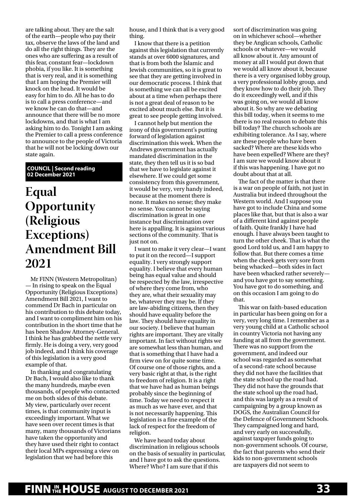<span id="page-32-0"></span>are talking about. They are the salt of the earth—people who pay their tax, observe the laws of the land and do all the right things. They are the ones who are suffering as a result of this fear, constant fear—lockdown phobia, if you like. It is something that is very real, and it is something that I am hoping the Premier will knock on the head. It would be easy for him to do. All he has to do is to call a press conference—and we know he can do that—and announce that there will be no more lockdowns, and that is what I am asking him to do. Tonight I am asking the Premier to call a press conference to announce to the people of Victoria that he will not be locking down our state again.

#### **COUNCIL | Second reading 02 December 2021**

### **Equal Opportunity (Religious Exceptions) Amendment Bill 2021**

Mr FINN (Western Metropolitan) — In rising to speak on the Equal Opportunity (Religious Exceptions) Amendment Bill 2021, I want to commend Dr Bach in particular on his contribution to this debate today, and I want to compliment him on his contribution in the short time that he has been Shadow Attorney-General. I think he has grabbed the nettle very firmly. He is doing a very, very good job indeed, and I think his coverage of this legislation is a very good example of that.

In thanking and congratulating Dr Bach, I would also like to thank the many hundreds, maybe even thousands, of people who contacted me on both sides of this debate. My view, particularly over recent times, is that community input is exceedingly important. What we have seen over recent times is that many, many thousands of Victorians have taken the opportunity and they have used their right to contact their local MPs expressing a view on legislation that we had before this

house, and I think that is a very good thing.

I know that there is a petition against this legislation that currently stands at over 6000 signatures, and that is from both the Islamic and Jewish communities, so it is great to see that they are getting involved in our democratic process. I think that is something we can all be excited about at a time when perhaps there is not a great deal of reason to be excited about much else. But it is great to see people getting involved.

I cannot help but mention the irony of this government's putting forward of legislation against discrimination this week. When the Andrews government has actually mandated discrimination in the state, they then tell us it is so bad that we have to legislate against it elsewhere. If we could get some consistency from this government, it would be very, very handy indeed, because at the moment there is none. It makes no sense; they make no sense. You cannot be saying discrimination is great in one instance but discrimination over here is appalling. It is against various sections of the community. That is just not on.

I want to make it very clear—I want to put it on the record—I support equality. I very strongly support equality. I believe that every human being has equal value and should be respected by the law, irrespective of where they come from, who they are, what their sexuality may be, whatever they may be. If they are law-abiding citizens, then they should have equality before the law. They should have equality in our society. I believe that human rights are important. They are vitally important. In fact without rights we are somewhat less than human, and that is something that I have had a firm view on for quite some time. Of course one of those rights, and a very basic right at that, is the right to freedom of religion. It is a right that we have had as human beings probably since the beginning of time. Today we need to respect it as much as we have ever, and that is not necessarily happening. This legislation is a fine example of the lack of respect for the freedom of religion.

We have heard today about discrimination in religious schools on the basis of sexuality in particular, and I have got to ask the questions. Where? Who? I am sure that if this

sort of discrimination was going on in whichever school—whether they be Anglican schools, Catholic schools or whatever—we would all know about it. Any amount of money at all I would put down that we would all know about it, because there is a very organised lobby group, a very professional lobby group, and they know how to do their job. They do it exceedingly well, and if this was going on, we would all know about it. So why are we debating this bill today, when it seems to me there is no real reason to debate this bill today? The church schools are exhibiting tolerance. As I say, where are these people who have been sacked? Where are these kids who have been expelled? Where are they? I am sure we would know about it if this was happening. I have got no doubt about that at all.

The fact of the matter is that there is a war on people of faith, not just in Australia but indeed throughout the Western world. And I suppose you have got to include China and some places like that, but that is also a war of a different kind against people of faith. Quite frankly I have had enough. I have always been taught to turn the other cheek. That is what the good Lord told us, and I am happy to follow that. But there comes a time when the cheek gets very sore from being whacked—both sides in fact have been whacked rather severely and you have got to say something. You have got to do something, and on this occasion I am going to do that.

This war on faith-based education in particular has been going on for a very, very long time. I remember as a very young child at a Catholic school in country Victoria not having any funding at all from the government. There was no support from the government, and indeed our school was regarded as somewhat of a second-rate school because they did not have the facilities that the state school up the road had. They did not have the grounds that the state school up the road had, and this was largely as a result of campaigning by a group known as DOGS, the Australian Council for the Defence of Government Schools. They campaigned long and hard, and very early on successfully, against taxpayer funds going to non-government schools. Of course, the fact that parents who send their kids to non-government schools are taxpayers did not seem to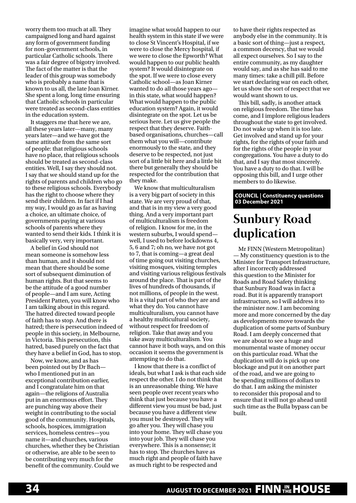<span id="page-33-0"></span>worry them too much at all. They campaigned long and hard against any form of government funding for non-government schools, in particular Catholic schools. There was a fair degree of bigotry involved. The fact of the matter is that the leader of this group was somebody who is probably a name that is known to us all, the late Joan Kirner. She spent a long, long time ensuring that Catholic schools in particular were treated as second-class entities in the education system.

It staggers me that here we are, all these years later—many, many years later—and we have got the same attitude from the same sort of people: that religious schools have no place, that religious schools should be treated as second-class entities. Well, I say they should not. I say that we should stand up for the rights of parents and children who go to these religious schools. Everybody has the right to choose where they send their children. In fact if I had my way, I would go as far as having a choice, an ultimate choice, of governments paying at various schools of parents where they wanted to send their kids. I think it is basically very, very important.

A belief in God should not mean someone is somehow less than human, and it should not mean that there should be some sort of subsequent diminution of human rights. But that seems to be the attitude of a good number of people—and I am sure, Acting President Patten, you will know who I am talking about in this regard. The hatred directed toward people of faith has to stop. And there is hatred; there is persecution indeed of people in this society, in Melbourne, in Victoria. This persecution, this hatred, based purely on the fact that they have a belief in God, has to stop.

Now, we know, and as has been pointed out by Dr Bach who I mentioned put in an exceptional contribution earlier, and I congratulate him on that again—the religions of Australia put in an enormous effort. They are punching way above their weight in contributing to the social good of the community. Hospitals, schools, hospices, immigration services, homeless centres—you name it—and churches, various churches, whether they be Christian or otherwise, are able to be seen to be contributing very much for the benefit of the community. Could we

imagine what would happen to our health system in this state if we were to close St Vincent's Hospital, if we were to close the Mercy hospital, if we were to close the Epworth? What would happen to our public health system? It would disintegrate on the spot. If we were to close every Catholic school—as Joan Kirner wanted to do all those years ago in this state, what would happen? What would happen to the public education system? Again, it would disintegrate on the spot. Let us be serious here. Let us give people the respect that they deserve. Faithbased organisations, churches—call them what you will—contribute enormously to the state, and they deserve to be respected, not just sort of a little bit here and a little bit there but generally they should be respected for the contribution that they make.

We know that multiculturalism is a very big part of society in this state. We are very proud of that, and that is in my view a very good thing. And a very important part of multiculturalism is freedom of religion. I know for me, in the western suburbs, I would spend well, I used to before lockdowns 4, 5, 6 and 7; oh no, we have not got to 7, that is coming—a great deal of time going out visiting churches, visiting mosques, visiting temples and visiting various religious festivals around the place. That is part of the lives of hundreds of thousands, if not millions, of people in the west. It is a vital part of who they are and what they do. You cannot have multiculturalism, you cannot have a healthy multicultural society, without respect for freedom of religion. Take that away and you take away multiculturalism. You cannot have it both ways, and on this occasion it seems the government is attempting to do that.

I know that there is a conflict of ideals, but what I ask is that each side respect the other. I do not think that is an unreasonable thing. We have seen people over recent years who think that just because you have a different view you must be bad, just because you have a different view you must be destroyed. They will go after you. They will chase you into your home. They will chase you into your job. They will chase you everywhere. This is a nonsense; it has to stop. The churches have as much right and people of faith have as much right to be respected and

to have their rights respected as anybody else in the community. It is a basic sort of thing—just a respect, a common decency, that we would all expect ourselves. So I say to the entire community, as my daughter would say, and as she has said to me many times: take a chill pill. Before we start declaring war on each other, let us show the sort of respect that we would want shown to us.

This bill, sadly, is another attack on religious freedom. The time has come, and I implore religious leaders throughout the state to get involved. Do not wake up when it is too late. Get involved and stand up for your rights, for the rights of your faith and for the rights of the people in your congregations. You have a duty to do that, and I say that most sincerely. You have a duty to do that. I will be opposing this bill, and I urge other members to do likewise.

#### **COUNCIL | Constituency questions 03 December 2021**

### **Sunbury Road duplication**

Mr FINN (Western Metropolitan) — My constituency question is to the Minister for Transport Infrastructure, after I incorrectly addressed this question to the Minister for Roads and Road Safety thinking that Sunbury Road was in fact a road. But it is apparently transport infrastructure, so I will address it to the minister now. I am becoming more and more concerned by the day as developments move towards the duplication of some parts of Sunbury Road. I am deeply concerned that we are about to see a huge and monumental waste of money occur on this particular road. What the duplication will do is pick up one blockage and put it on another part of the road, and we are going to be spending millions of dollars to do that. I am asking the minister to reconsider this proposal and to ensure that it will not go ahead until such time as the Bulla bypass can be built.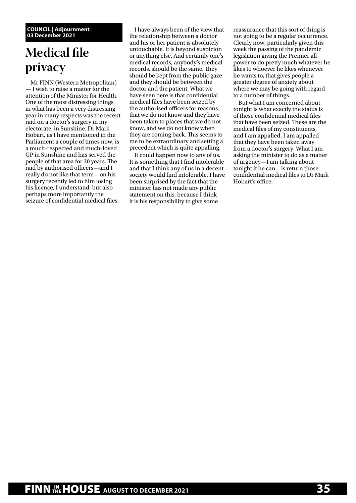#### <span id="page-34-0"></span>**COUNCIL | Adjournment 03 December 2021**

# **Medical file privacy**

Mr FINN (Western Metropolitan) — I wish to raise a matter for the attention of the Minister for Health. One of the most distressing things in what has been a very distressing year in many respects was the recent raid on a doctor's surgery in my electorate, in Sunshine. Dr Mark Hobart, as I have mentioned in the Parliament a couple of times now, is a much-respected and much-loved GP in Sunshine and has served the people of that area for 30 years. The raid by authorised officers—and I really do not like that term—on his surgery recently led to him losing his licence, I understand, but also perhaps more importantly the seizure of confidential medical files.

I have always been of the view that the relationship between a doctor and his or her patient is absolutely untouchable. It is beyond suspicion or anything else. And certainly one's medical records, anybody's medical records, should be the same. They should be kept from the public gaze and they should be between the doctor and the patient. What we have seen here is that confidential medical files have been seized by the authorised officers for reasons that we do not know and they have been taken to places that we do not know, and we do not know when they are coming back. This seems to me to be extraordinary and setting a precedent which is quite appalling.

It could happen now to any of us. It is something that I find intolerable and that I think any of us in a decent society would find intolerable. I have been surprised by the fact that the minister has not made any public statement on this, because I think it is his responsibility to give some

reassurance that this sort of thing is not going to be a regular occurrence. Clearly now, particularly given this week the passing of the pandemic legislation giving the Premier all power to do pretty much whatever he likes to whoever he likes whenever he wants to, that gives people a greater degree of anxiety about where we may be going with regard to a number of things.

But what I am concerned about tonight is what exactly the status is of these confidential medical files that have been seized. These are the medical files of my constituents, and I am appalled. I am appalled that they have been taken away from a doctor's surgery. What I am asking the minister to do as a matter of urgency—I am talking about tonight if he can—is return those confidential medical files to Dr Mark Hobart's office.